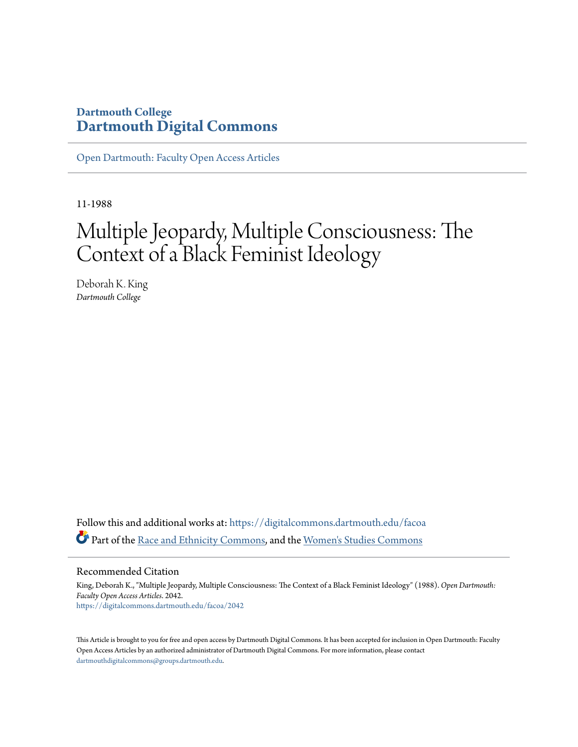# **Dartmouth College [Dartmouth Digital Commons](https://digitalcommons.dartmouth.edu?utm_source=digitalcommons.dartmouth.edu%2Ffacoa%2F2042&utm_medium=PDF&utm_campaign=PDFCoverPages)**

[Open Dartmouth: Faculty Open Access Articles](https://digitalcommons.dartmouth.edu/facoa?utm_source=digitalcommons.dartmouth.edu%2Ffacoa%2F2042&utm_medium=PDF&utm_campaign=PDFCoverPages)

11-1988

# Multiple Jeopardy, Multiple Consciousness: The Context of a Black Feminist Ideology

Deborah K. King *Dartmouth College*

Follow this and additional works at: [https://digitalcommons.dartmouth.edu/facoa](https://digitalcommons.dartmouth.edu/facoa?utm_source=digitalcommons.dartmouth.edu%2Ffacoa%2F2042&utm_medium=PDF&utm_campaign=PDFCoverPages) Part of the [Race and Ethnicity Commons,](http://network.bepress.com/hgg/discipline/426?utm_source=digitalcommons.dartmouth.edu%2Ffacoa%2F2042&utm_medium=PDF&utm_campaign=PDFCoverPages) and the [Women's Studies Commons](http://network.bepress.com/hgg/discipline/561?utm_source=digitalcommons.dartmouth.edu%2Ffacoa%2F2042&utm_medium=PDF&utm_campaign=PDFCoverPages)

Recommended Citation

King, Deborah K., "Multiple Jeopardy, Multiple Consciousness: The Context of a Black Feminist Ideology" (1988). *Open Dartmouth: Faculty Open Access Articles*. 2042. [https://digitalcommons.dartmouth.edu/facoa/2042](https://digitalcommons.dartmouth.edu/facoa/2042?utm_source=digitalcommons.dartmouth.edu%2Ffacoa%2F2042&utm_medium=PDF&utm_campaign=PDFCoverPages)

This Article is brought to you for free and open access by Dartmouth Digital Commons. It has been accepted for inclusion in Open Dartmouth: Faculty Open Access Articles by an authorized administrator of Dartmouth Digital Commons. For more information, please contact [dartmouthdigitalcommons@groups.dartmouth.edu.](mailto:dartmouthdigitalcommons@groups.dartmouth.edu)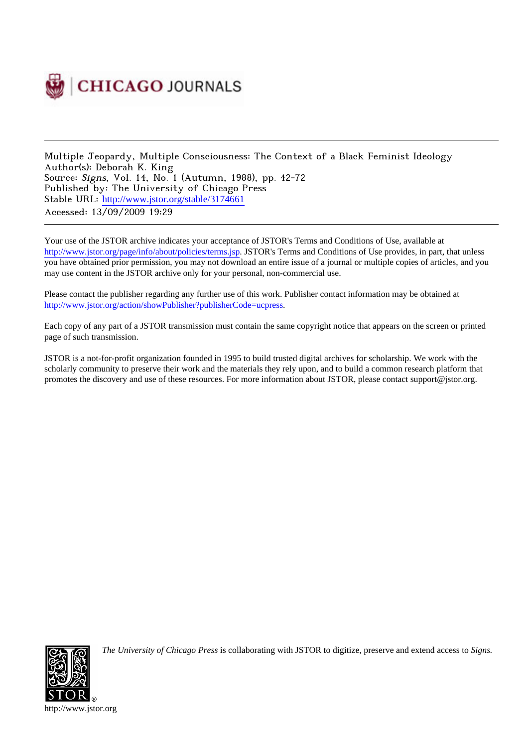

Multiple Jeopardy, Multiple Consciousness: The Context of a Black Feminist Ideology Author(s): Deborah K. King Source: Signs, Vol. 14, No. 1 (Autumn, 1988), pp. 42-72 Published by: The University of Chicago Press Stable URL: [http://www.jstor.org/stable/3174661](http://www.jstor.org/stable/3174661?origin=JSTOR-pdf) Accessed: 13/09/2009 19:29

Your use of the JSTOR archive indicates your acceptance of JSTOR's Terms and Conditions of Use, available at <http://www.jstor.org/page/info/about/policies/terms.jsp>. JSTOR's Terms and Conditions of Use provides, in part, that unless you have obtained prior permission, you may not download an entire issue of a journal or multiple copies of articles, and you may use content in the JSTOR archive only for your personal, non-commercial use.

Please contact the publisher regarding any further use of this work. Publisher contact information may be obtained at [http://www.jstor.org/action/showPublisher?publisherCode=ucpress.](http://www.jstor.org/action/showPublisher?publisherCode=ucpress)

Each copy of any part of a JSTOR transmission must contain the same copyright notice that appears on the screen or printed page of such transmission.

JSTOR is a not-for-profit organization founded in 1995 to build trusted digital archives for scholarship. We work with the scholarly community to preserve their work and the materials they rely upon, and to build a common research platform that promotes the discovery and use of these resources. For more information about JSTOR, please contact support@jstor.org.



*The University of Chicago Press* is collaborating with JSTOR to digitize, preserve and extend access to *Signs.*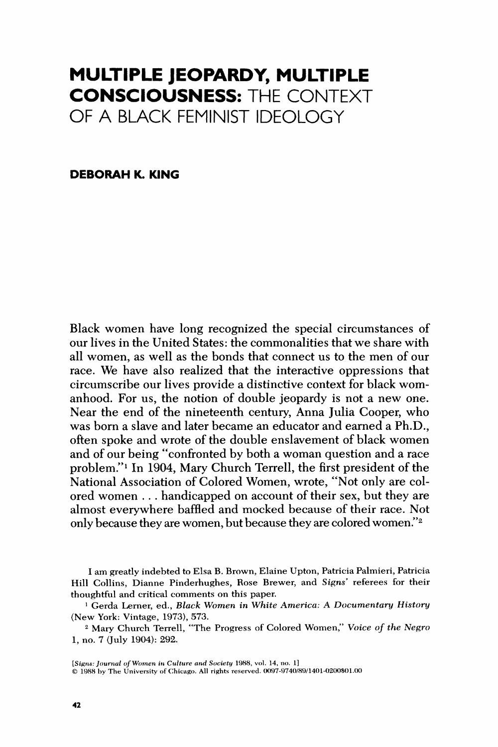# **MULTIPLE JEOPARDY, MULTIPLE CONSCIOUSNESS: THE CONTEXT OF A BLACK FEMINIST IDEOLOGY**

# **DEBORAH K. KING**

**Black women have long recognized the special circumstances of our lives in the United States: the commonalities that we share with all women, as well as the bonds that connect us to the men of our race. We have also realized that the interactive oppressions that circumscribe our lives provide a distinctive context for black womanhood. For us, the notion of double jeopardy is not a new one. Near the end of the nineteenth century, Anna Julia Cooper, who was born a slave and later became an educator and earned a Ph.D., often spoke and wrote of the double enslavement of black women and of our being "confronted by both a woman question and a race problem."' In 1904, Mary Church Terrell, the first president of the National Association of Colored Women, wrote, "Not only are colored women ... handicapped on account of their sex, but they are almost everywhere baffled and mocked because of their race. Not only because they are women, but because they are colored women."2** 

**I am greatly indebted to Elsa B. Brown, Elaine Upton, Patricia Palmieri, Patricia Hill Collins, Dianne Pinderhughes, Rose Brewer, and Signs' referees for their thoughtful and critical comments on this paper.** 

**Gerda Lerner, ed., Black Women in White America: A Documentary History (New York: Vintage, 1973), 573.** 

**<sup>2</sup>Mary Church Terrell, "The Progress of Colored Women," Voice of the Negro 1, no. 7 (July 1904): 292.** 

[Signs: Journal of Women in Culture and Society 1988, vol. 14, no. 1]

 $©$  1988 by The University of Chicago. All rights reserved. 0097-9740/89/1401-0200\$01.00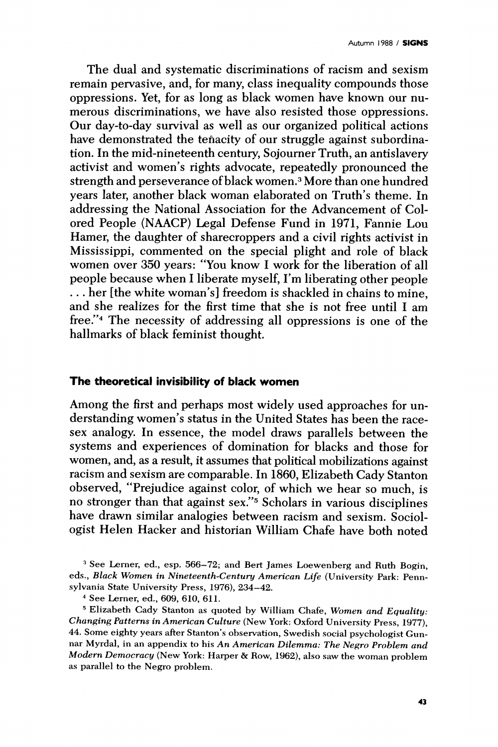**The dual and systematic discriminations of racism and sexism remain pervasive, and, for many, class inequality compounds those oppressions. Yet, for as long as black women have known our numerous discriminations, we have also resisted those oppressions. Our day-to-day survival as well as our organized political actions have demonstrated the tehacity of our struggle against subordination. In the mid-nineteenth century, Sojourner Truth, an antislavery activist and women's rights advocate, repeatedly pronounced the strength and perseverance of black women.3 More than one hundred years later, another black woman elaborated on Truth's theme. In addressing the National Association for the Advancement of Colored People (NAACP) Legal Defense Fund in 1971, Fannie Lou Hamer, the daughter of sharecroppers and a civil rights activist in Mississippi, commented on the special plight and role of black women over 350 years: "You know I work for the liberation of all people because when I liberate myself, I'm liberating other people ... her [the white woman's] freedom is shackled in chains to mine, and she realizes for the first time that she is not free until I am free."4 The necessity of addressing all oppressions is one of the hallmarks of black feminist thought.** 

## **The theoretical invisibility of black women**

**Among the first and perhaps most widely used approaches for understanding women's status in the United States has been the racesex analogy. In essence, the model draws parallels between the systems and experiences of domination for blacks and those for women, and, as a result, it assumes that political mobilizations against racism and sexism are comparable. In 1860, Elizabeth Cady Stanton observed, "Prejudice against color, of which we hear so much, is no stronger than that against sex."5 Scholars in various disciplines have drawn similar analogies between racism and sexism. Sociologist Helen Hacker and historian William Chafe have both noted** 

**<sup>3</sup>See Lerner, ed., esp. 566-72; and Bert James Loewenberg and Ruth Bogin, eds., Black Women in Nineteenth-Century American Life (University Park: Pennsylvania State University Press, 1976), 234-42.** 

**5 Elizabeth Cady Stanton as quoted by William Chafe, Women and Equality: Changing Patterns in American Culture (New York: Oxford University Press, 1977), 44. Some eighty years after Stanton's observation, Swedish social psychologist Gunnar Myrdal, in an appendix to his An American Dilemma: The Negro Problem and Modern Democracy (New York: Harper & Row, 1962), also saw the woman problem as parallel to the Negro problem.** 

**<sup>4</sup>See Lerner, ed., 609, 610, 611.**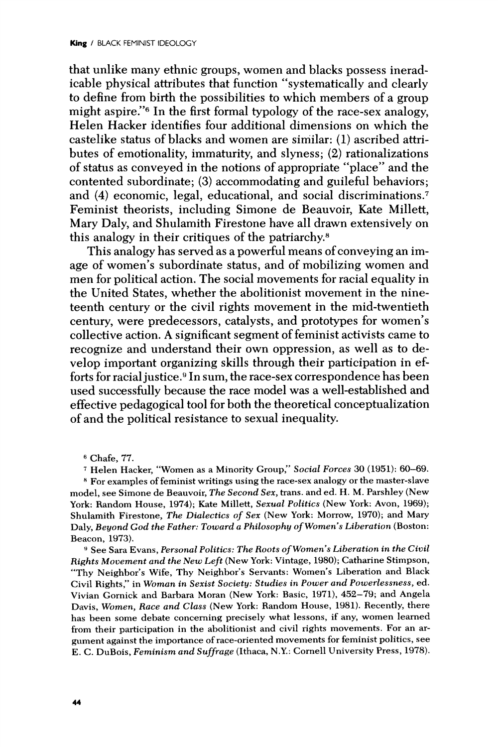**that unlike many ethnic groups, women and blacks possess ineradicable physical attributes that function "systematically and clearly to define from birth the possibilities to which members of a group might aspire."6 In the first formal typology of the race-sex analogy, Helen Hacker identifies four additional dimensions on which the castelike status of blacks and women are similar: (1) ascribed attributes of emotionality, immaturity, and slyness; (2) rationalizations of status as conveyed in the notions of appropriate "place" and the contented subordinate; (3) accommodating and guileful behaviors; and (4) economic, legal, educational, and social discriminations.7 Feminist theorists, including Simone de Beauvoir, Kate Millett, Mary Daly, and Shulamith Firestone have all drawn extensively on this analogy in their critiques of the patriarchy.8** 

**This analogy has served as a powerful means of conveying an image of women's subordinate status, and of mobilizing women and men for political action. The social movements for racial equality in the United States, whether the abolitionist movement in the nineteenth century or the civil rights movement in the mid-twentieth century, were predecessors, catalysts, and prototypes for women's collective action. A significant segment of feminist activists came to recognize and understand their own oppression, as well as to develop important organizing skills through their participation in efforts for racial justice.9 In sum, the race-sex correspondence has been used successfully because the race model was a well-established and effective pedagogical tool for both the theoretical conceptualization of and the political resistance to sexual inequality.** 

**6 Chafe, 77.** 

**7 Helen Hacker, "Women as a Minority Group," Social Forces 30 (1951): 60-69.** 

**8 For examples of feminist writings using the race-sex analogy or the master-slave model, see Simone de Beauvoir, The Second Sex, trans. and ed. H. M. Parshley (New York: Random House, 1974); Kate Millett, Sexual Politics (New York: Avon, 1969); Shulamith Firestone, The Dialectics of Sex (New York: Morrow, 1970); and Mary Daly, Beyond God the Father: Toward a Philosophy of Women's Liberation (Boston: Beacon, 1973).** 

**<sup>9</sup>See Sara Evans, Personal Politics: The Roots of Women's Liberation in the Civil Rights Movement and the New Left (New York: Vintage, 1980); Catharine Stimpson, "Thy Neighbor's Wife, Thy Neighbor's Servants: Women's Liberation and Black Civil Rights," in Woman in Sexist Society: Studies in Power and Powerlessness, ed. Vivian Gornick and Barbara Moran (New York: Basic, 1971), 452-79; and Angela Davis, Women, Race and Class (New York: Random House, 1981). Recently, there has been some debate concerning precisely what lessons, if any, women learned from their participation in the abolitionist and civil rights movements. For an argument against the importance of race-oriented movements for feminist politics, see E. C. DuBois, Feminism and Suffrage (Ithaca, N.Y.: Cornell University Press, 1978).**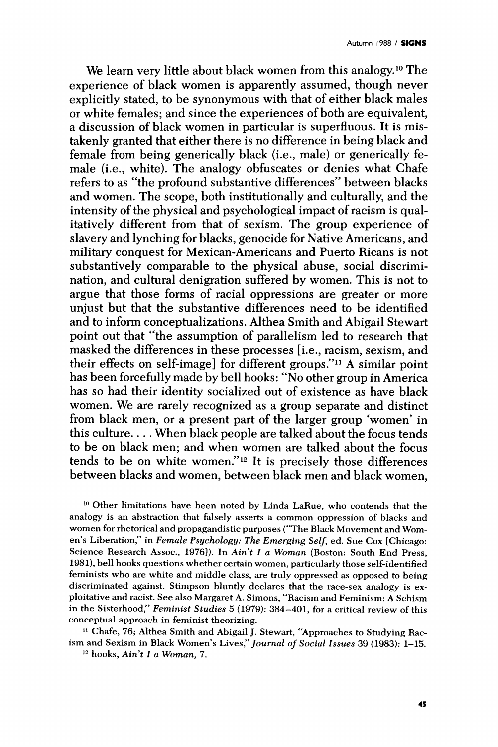**We learn very little about black women from this analogy.10 The experience of black women is apparently assumed, though never explicitly stated, to be synonymous with that of either black males or white females; and since the experiences of both are equivalent, a discussion of black women in particular is superfluous. It is mistakenly granted that either there is no difference in being black and female from being generically black (i.e., male) or generically female (i.e., white). The analogy obfuscates or denies what Chafe refers to as "the profound substantive differences" between blacks and women. The scope, both institutionally and culturally, and the intensity of the physical and psychological impact of racism is qualitatively different from that of sexism. The group experience of slavery and lynching for blacks, genocide for Native Americans, and military conquest for Mexican-Americans and Puerto Ricans is not substantively comparable to the physical abuse, social discrimination, and cultural denigration suffered by women. This is not to argue that those forms of racial oppressions are greater or more unjust but that the substantive differences need to be identified and to inform conceptualizations. Althea Smith and Abigail Stewart point out that "the assumption of parallelism led to research that masked the differences in these processes [i.e., racism, sexism, and their effects on self-image] for different groups."" A similar point has been forcefully made by bell hooks: "No other group in America has so had their identity socialized out of existence as have black women. We are rarely recognized as a group separate and distinct from black men, or a present part of the larger group 'women' in this culture .... When black people are talked about the focus tends to be on black men; and when women are talked about the focus tends to be on white women."12 It is precisely those differences between blacks and women, between black men and black women,** 

**<sup>10</sup>Other limitations have been noted by Linda LaRue, who contends that the analogy is an abstraction that falsely asserts a common oppression of blacks and women for rhetorical and propagandistic purposes ("The Black Movement and Women's Liberation," in Female Psychology: The Emerging Self, ed. Sue Cox [Chicago: Science Research Assoc., 1976]). In Ain't I a Woman (Boston: South End Press, 1981), bell hooks questions whether certain women, particularly those self-identified feminists who are white and middle class, are truly oppressed as opposed to being discriminated against. Stimpson bluntly declares that the race-sex analogy is exploitative and racist. See also Margaret A. Simons, "Racism and Feminism: A Schism in the Sisterhood," Feminist Studies 5 (1979): 384-401, for a critical review of this conceptual approach in feminist theorizing.** 

<sup>11</sup> Chafe, 76; Althea Smith and Abigail J. Stewart, "Approaches to Studying Rac**ism and Sexism in Black Women's Lives," Journal of Social Issues 39 (1983): 1-15.** 

**<sup>12</sup>hooks, Ain't I a Woman, 7.**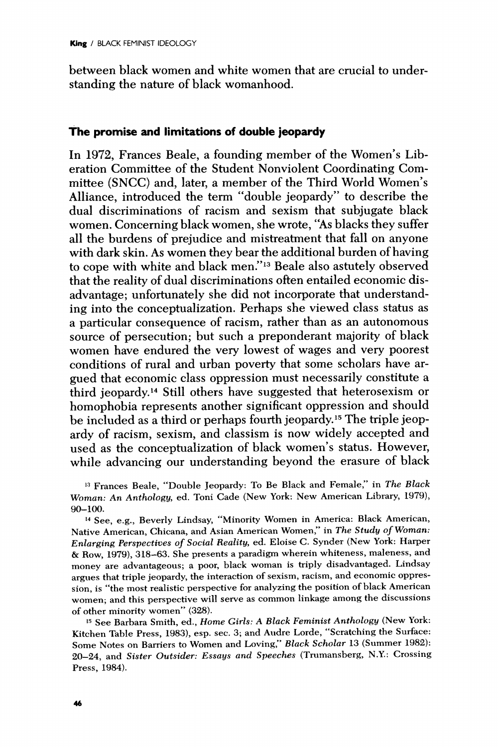**between black women and white women that are crucial to understanding the nature of black womanhood.** 

## **The promise and limitations of double jeopardy**

**In 1972, Frances Beale, a founding member of the Women's Liberation Committee of the Student Nonviolent Coordinating Committee (SNCC) and, later, a member of the Third World Women's Alliance, introduced the term "double jeopardy" to describe the dual discriminations of racism and sexism that subjugate black women. Concerning black women, she wrote, "As blacks they suffer all the burdens of prejudice and mistreatment that fall on anyone with dark skin. As women they bear the additional burden of having to cope with white and black men."'3 Beale also astutely observed that the reality of dual discriminations often entailed economic disadvantage; unfortunately she did not incorporate that understanding into the conceptualization. Perhaps she viewed class status as a particular consequence of racism, rather than as an autonomous source of persecution; but such a preponderant majority of black women have endured the very lowest of wages and very poorest conditions of rural and urban poverty that some scholars have argued that economic class oppression must necessarily constitute a third jeopardy.14 Still others have suggested that heterosexism or homophobia represents another significant oppression and should be included as a third or perhaps fourth jeopardy.'1 The triple jeopardy of racism, sexism, and classism is now widely accepted and used as the conceptualization of black women's status. However, while advancing our understanding beyond the erasure of black** 

**13 Frances Beale, "Double Jeopardy: To Be Black and Female," in The Black Woman: An Anthology, ed. Toni Cade (New York: New American Library, 1979), 90-100.** 

**<sup>14</sup>See, e.g., Beverly Lindsay, "Minority Women in America: Black American, Native American, Chicana, and Asian American Women," in The Study of Woman: Enlarging Perspectives of Social Reality, ed. Eloise C. Synder (New York: Harper & Row, 1979), 318-63. She presents a paradigm wherein whiteness, maleness, and money are advantageous; a poor, black woman is triply disadvantaged. Lindsay argues that triple jeopardy, the interaction of sexism, racism, and economic oppression, is "the most realistic perspective for analyzing the position of black American women; and this perspective will serve as common linkage among the discussions of other minority women" (328).** 

**<sup>15</sup>See Barbara Smith, ed., Home Girls: A Black Feminist Anthology (New York: Kitchen Table Press, 1983), esp. sec. 3; and Audre Lorde, "Scratching the Surface: Some Notes on Barriers to Women and Loving," Black Scholar 13 (Summer 1982): 20-24, and Sister Outsider: Essays and Speeches (Trumansberg, N.Y.: Crossing Press, 1984).**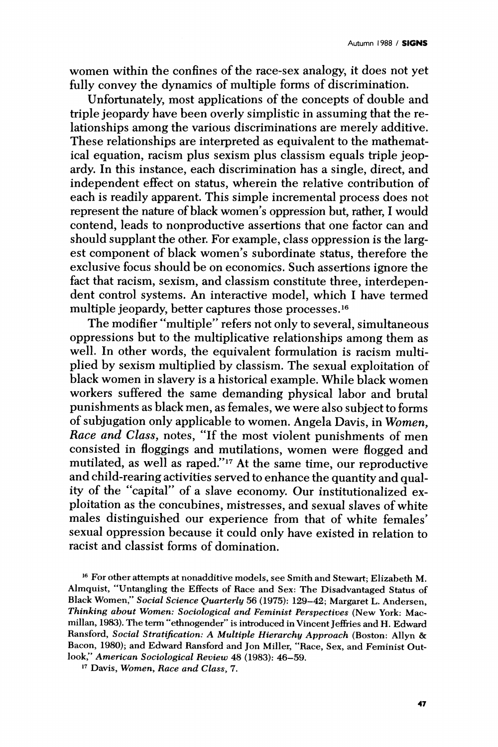**women within the confines of the race-sex analogy, it does not yet fully convey the dynamics of multiple forms of discrimination.** 

**Unfortunately, most applications of the concepts of double and triple jeopardy have been overly simplistic in assuming that the relationships among the various discriminations are merely additive. These relationships are interpreted as equivalent to the mathematical equation, racism plus sexism plus classism equals triple jeopardy. In this instance, each discrimination has a single, direct, and independent effect on status, wherein the relative contribution of each is readily apparent. This simple incremental process does not represent the nature of black women's oppression but, rather, I would contend, leads to nonproductive assertions that one factor can and should supplant the other. For example, class oppression is the largest component of black women's subordinate status, therefore the exclusive focus should be on economics. Such assertions ignore the fact that racism, sexism, and classism constitute three, interdependent control systems. An interactive model, which I have termed multiple jeopardy, better captures those processes.16** 

**The modifier "multiple" refers not only to several, simultaneous oppressions but to the multiplicative relationships among them as well. In other words, the equivalent formulation is racism multiplied by sexism multiplied by classism. The sexual exploitation of black women in slavery is a historical example. While black women workers suffered the same demanding physical labor and brutal punishments as black men, as females, we were also subject to forms of subjugation only applicable to women. Angela Davis, in Women, Race and Class, notes, "If the most violent punishments of men consisted in floggings and mutilations, women were flogged and mutilated, as well as raped."'7 At the same time, our reproductive and child-rearing activities served to enhance the quantity and quality of the "capital" of a slave economy. Our institutionalized exploitation as the concubines, mistresses, and sexual slaves of white males distinguished our experience from that of white females' sexual oppression because it could only have existed in relation to racist and classist forms of domination.** 

**16 For other attempts at nonadditive models, see Smith and Stewart; Elizabeth M. Almquist, "Untangling the Effects of Race and Sex: The Disadvantaged Status of Black Women," Social Science Quarterly 56 (1975): 129-42; Margaret L. Andersen, Thinking about Women: Sociological and Feminist Perspectives (New York: Macmillan, 1983). The term "ethnogender" is introduced in Vincent Jeffries and H. Edward Ransford, Social Stratification: A Multiple Hierarchy Approach (Boston: Allyn & Bacon, 1980); and Edward Ransford and Jon Miller, "Race, Sex, and Feminist Outlook," American Sociological Review 48 (1983): 46-59.** 

**17 Davis, Women, Race and Class, 7.**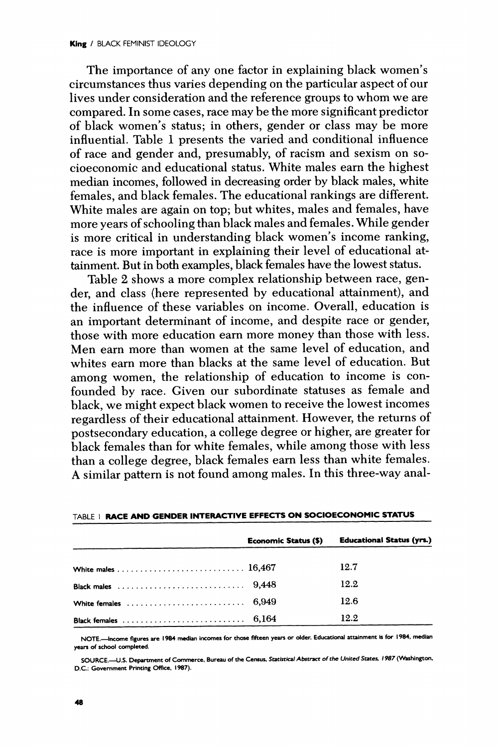**The importance of any one factor in explaining black women's circumstances thus varies depending on the particular aspect of our lives under consideration and the reference groups to whom we are compared. In some cases, race may be the more significant predictor of black women's status; in others, gender or class may be more influential. Table 1 presents the varied and conditional influence of race and gender and, presumably, of racism and sexism on socioeconomic and educational status. White males earn the highest median incomes, followed in decreasing order by black males, white females, and black females. The educational rankings are different. White males are again on top; but whites, males and females, have more years of schooling than black males and females. While gender is more critical in understanding black women's income ranking, race is more important in explaining their level of educational attainment. But in both examples, black females have the lowest status.** 

**Table 2 shows a more complex relationship between race, gender, and class (here represented by educational attainment), and the influence of these variables on income. Overall, education is an important determinant of income, and despite race or gender, those with more education earn more money than those with less. Men earn more than women at the same level of education, and whites earn more than blacks at the same level of education. But among women, the relationship of education to income is confounded by race. Given our subordinate statuses as female and black, we might expect black women to receive the lowest incomes regardless of their educational attainment. However, the returns of postsecondary education, a college degree or higher, are greater for black females than for white females, while among those with less than a college degree, black females earn less than white females. A similar pattern is not found among males. In this three-way anal-**

| <b>Economic Status (\$)</b> | <b>Educational Status (yrs.)</b> |  |
|-----------------------------|----------------------------------|--|
|                             | 12.7                             |  |
|                             | 12.2                             |  |
|                             | 12.6                             |  |
|                             | 12.2                             |  |

**TABLE I RACE AND GENDER INTERACTIVE EFFECTS ON SOCIOECONOMIC STATUS** 

**NOTE.-Income figures are 1984 median incomes for those fifteen years or older. Educational attainment is for 1984, median years of school completed.** 

**SOURCE.-U.S. Department of Commerce, Bureau of the Census, Statistical Abstract of the United States, 1987 (Washington, D.C.: Government Printing Office, 1987).**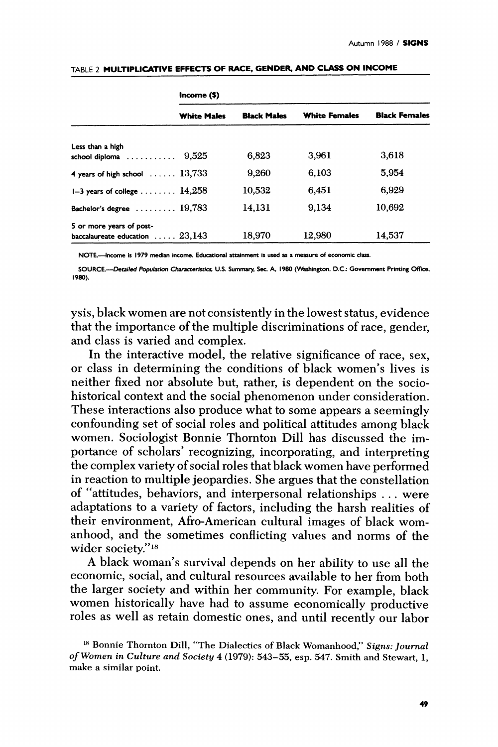|                                                                        | Income (\$)        |                    |                      |                      |
|------------------------------------------------------------------------|--------------------|--------------------|----------------------|----------------------|
|                                                                        | <b>White Males</b> | <b>Black Males</b> | <b>White Females</b> | <b>Black Females</b> |
| Less than a high<br>school diploma $\ldots \ldots \ldots \ldots 9,525$ |                    | 6.823              | 3.961                | 3.618                |
| 4 years of high school $\ldots \ldots 13,733$                          |                    | 9.260              | 6.103                | 5,954                |
| $1-3$ years of college $14,258$                                        |                    | 10.532             | 6.451                | 6,929                |
| Bachelor's degree $\ldots \ldots \ldots 19,783$                        |                    | 14.131             | 9.134                | 10,692               |
| 5 or more years of post-<br>baccalaureate education $\ldots$ 23,143    |                    | 18,970             | 12.980               | 14,537               |

#### **TABLE 2 MULTIPLICATIVE EFFECTS OF RACE, GENDER, AND CLASS ON INCOME**

NOTE.---Income is 1979 median income. Educational attainment is used as a measure of economic class.

**SOURCE-Detailed Population Characteristics, U.S. Summary, Sec. A, 1980 (Washington, D.C.: Government Printing Office, 1980).** 

**ysis, black women are not consistently in the lowest status, evidence that the importance of the multiple discriminations of race, gender, and class is varied and complex.** 

**In the interactive model, the relative significance of race, sex, or class in determining the conditions of black women's lives is neither fixed nor absolute but, rather, is dependent on the sociohistorical context and the social phenomenon under consideration. These interactions also produce what to some appears a seemingly confounding set of social roles and political attitudes among black women. Sociologist Bonnie Thornton Dill has discussed the importance of scholars' recognizing, incorporating, and interpreting the complex variety of social roles that black women have performed in reaction to multiple jeopardies. She argues that the constellation of "attitudes, behaviors, and interpersonal relationships ... were adaptations to a variety of factors, including the harsh realities of their environment, Afro-American cultural images of black womanhood, and the sometimes conflicting values and norms of the**  wider society."<sup>18</sup>

**A black woman's survival depends on her ability to use all the economic, social, and cultural resources available to her from both the larger society and within her community. For example, black women historically have had to assume economically productive roles as well as retain domestic ones, and until recently our labor** 

**<sup>18</sup> Bonnie Thornton Dill, "The Dialectics of Black Womanhood,' Signs: Journal of Women in Culture and Society 4 (1979): 543-55, esp. 547. Smith and Stewart, 1, make a similar point.**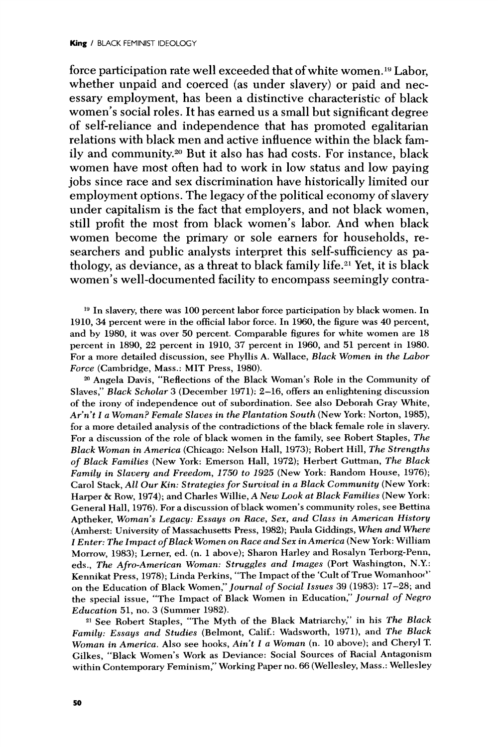**force participation rate well exceeded that of white women.19 Labor, whether unpaid and coerced (as under slavery) or paid and necessary employment, has been a distinctive characteristic of black women's social roles. It has earned us a small but significant degree of self-reliance and independence that has promoted egalitarian relations with black men and active influence within the black family and community.20 But it also has had costs. For instance, black women have most often had to work in low status and low paying jobs since race and sex discrimination have historically limited our employment options. The legacy of the political economy of slavery under capitalism is the fact that employers, and not black women, still profit the most from black women's labor. And when black women become the primary or sole earners for households, researchers and public analysts interpret this self-sufficiency as pathology, as deviance, as a threat to black family life.21 Yet, it is black women's well-documented facility to encompass seemingly contra-**

**19 In slavery, there was 100 percent labor force participation by black women. In 1910, 34 percent were in the official labor force. In 1960, the figure was 40 percent, and by 1980, it was over 50 percent. Comparable figures for white women are 18 percent in 1890, 22 percent in 1910, 37 percent in 1960, and 51 percent in 1980. For a more detailed discussion, see Phyllis A. Wallace, Black Women in the Labor Force (Cambridge, Mass.: MIT Press, 1980).** 

**20 Angela Davis, "Reflections of the Black Woman's Role in the Community of Slaves," Black Scholar 3 (December 1971): 2-16, offers an enlightening discussion of the irony of independence out of subordination. See also Deborah Gray White, Ar'n't I a Woman? Female Slaves in the Plantation South (New York: Norton, 1985), for a more detailed analysis of the contradictions of the black female role in slavery. For a discussion of the role of black women in the family, see Robert Staples, The Black Woman in America (Chicago: Nelson Hall, 1973); Robert Hill, The Strengths of Black Families (New York: Emerson Hall, 1972); Herbert Guttman, The Black Family in Slavery and Freedom, 1750 to 1925 (New York: Random House, 1976); Carol Stack, All Our Kin: Strategies for Survival in a Black Community (New York: Harper & Row, 1974); and Charles Willie, A New Look at Black Families (New York: General Hall, 1976). For a discussion of black women's community roles, see Bettina Aptheker, Woman's Legacy: Essays on Race, Sex, and Class in American History (Amherst: University of Massachusetts Press, 1982); Paula Giddings, When and Where I Enter: The Impact of Black Women on Race and Sex in America (New York: William Morrow, 1983); Lerner, ed. (n. 1 above); Sharon Harley and Rosalyn Terborg-Penn, eds., The Afro-American Woman: Struggles and Images (Port Washington, N.Y.: Kennikat Press, 1978); Linda Perkins, "The Impact of the 'Cult of True Womanhoow' on the Education of Black Women," Journal of Social Issues 39 (1983): 17-28; and the special issue, "The Impact of Black Women in Education," Journal of Negro Education 51, no. 3 (Summer 1982).** 

**<sup>21</sup>See Robert Staples, "The Myth of the Black Matriarchy," in his The Black Family: Essays and Studies (Belmont, Calif.: Wadsworth, 1971), and The Black Woman in America. Also see hooks, Ain't I a Woman (n. 10 above); and Cheryl T. Gilkes, "Black Women's Work as Deviance: Social Sources of Racial Antagonism within Contemporary Feminism," Working Paper no. 66 (Wellesley, Mass.: Wellesley**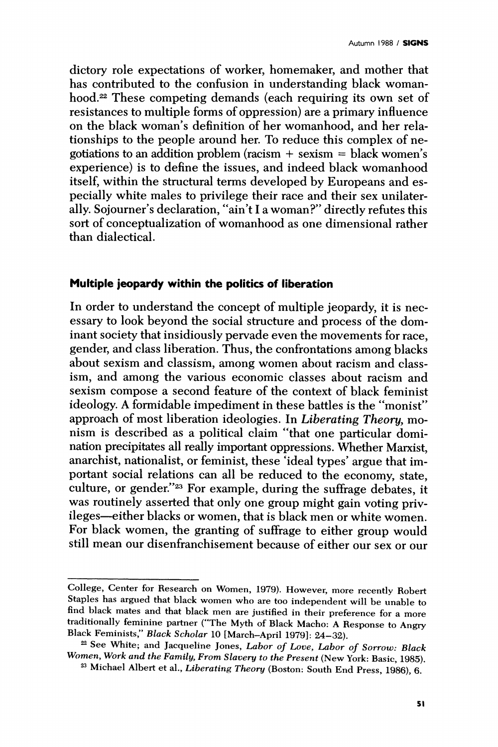**dictory role expectations of worker, homemaker, and mother that has contributed to the confusion in understanding black womanhood.22 These competing demands (each requiring its own set of resistances to multiple forms of oppression) are a primary influence on the black woman's definition of her womanhood, and her relationships to the people around her. To reduce this complex of negotiations to an addition problem (racism + sexism = black women's experience) is to define the issues, and indeed black womanhood itself, within the structural terms developed by Europeans and especially white males to privilege their race and their sex unilaterally. Sojourner's declaration, "ain't I a woman?" directly refutes this sort of conceptualization of womanhood as one dimensional rather than dialectical.** 

# **Multiple jeopardy within the politics of liberation**

**In order to understand the concept of multiple jeopardy, it is necessary to look beyond the social structure and process of the dominant society that insidiously pervade even the movements for race, gender, and class liberation. Thus, the confrontations among blacks about sexism and classism, among women about racism and classism, and among the various economic classes about racism and sexism compose a second feature of the context of black feminist ideology. A formidable impediment in these battles is the "monist" approach of most liberation ideologies. In Liberating Theory, monism is described as a political claim "that one particular domination precipitates all really important oppressions. Whether Marxist, anarchist, nationalist, or feminist, these 'ideal types' argue that important social relations can all be reduced to the economy, state, culture, or gender."23 For example, during the suffrage debates, it was routinely asserted that only one group might gain voting privileges-either blacks or women, that is black men or white women. For black women, the granting of suffrage to either group would still mean our disenfranchisement because of either our sex or our** 

**College, Center for Research on Women, 1979). However, more recently Robert Staples has argued that black women who are too independent will be unable to find black mates and that black men are justified in their preference for a more traditionally feminine partner ("The Myth of Black Macho: A Response to Angry** 

<sup>&</sup>lt;sup>22</sup> See White; and Jacqueline Jones, *Labor of Love, Labor of Sorrow: Black* Women, Work and the Family, From Slavery to the Present (New York: Basic, 1985).

<sup>&</sup>lt;sup>23</sup> Michael Albert et al., *Liberating Theory (Boston: South End Press, 1986), 6.*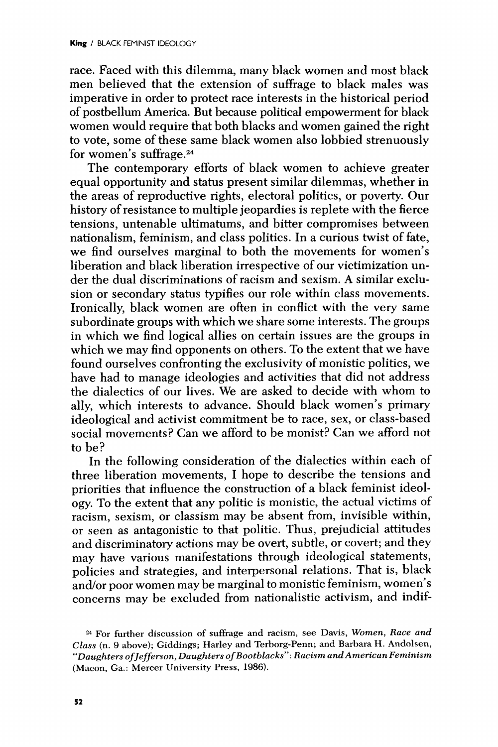**race. Faced with this dilemma, many black women and most black men believed that the extension of suffrage to black males was imperative in order to protect race interests in the historical period of postbellum America. But because political empowerment for black women would require that both blacks and women gained the right to vote, some of these same black women also lobbied strenuously for women's suffrage.24** 

**The contemporary efforts of black women to achieve greater equal opportunity and status present similar dilemmas, whether in the areas of reproductive rights, electoral politics, or poverty. Our history of resistance to multiple jeopardies is replete with the fierce tensions, untenable ultimatums, and bitter compromises between nationalism, feminism, and class politics. In a curious twist of fate, we find ourselves marginal to both the movements for women's liberation and black liberation irrespective of our victimization under the dual discriminations of racism and sexism. A similar exclusion or secondary status typifies our role within class movements. Ironically, black women are often in conflict with the very same subordinate groups with which we share some interests. The groups in which we find logical allies on certain issues are the groups in which we may find opponents on others. To the extent that we have found ourselves confronting the exclusivity of monistic politics, we have had to manage ideologies and activities that did not address the dialectics of our lives. We are asked to decide with whom to ally, which interests to advance. Should black women's primary ideological and activist commitment be to race, sex, or class-based social movements? Can we afford to be monist? Can we afford not to be?** 

**In the following consideration of the dialectics within each of three liberation movements, I hope to describe the tensions and priorities that influence the construction of a black feminist ideology. To the extent that any politic is monistic, the actual victims of racism, sexism, or classism may be absent from, invisible within, or seen as antagonistic to that politic. Thus, prejudicial attitudes and discriminatory actions may be overt, subtle, or covert; and they may have various manifestations through ideological statements, policies and strategies, and interpersonal relations. That is, black and/or poor women may be marginal to monistic feminism, women's concerns may be excluded from nationalistic activism, and indif-**

**<sup>24</sup> For further discussion of suffrage and racism, see Davis, Women, Race and Class (n. 9 above); Giddings; Harley and Terborg-Penn; and Barbara H. Andolsen, "Daughters of Jefferson, Daughters of Bootblacks": Racism andAmerican Feminism (Macon, Ga.: Mercer University Press, 1986).**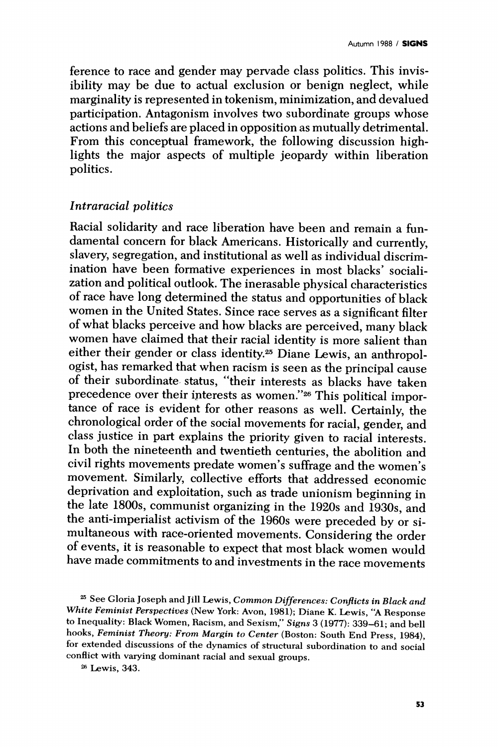**ference to race and gender may pervade class politics. This invisibility may be due to actual exclusion or benign neglect, while marginality is represented in tokenism, minimization, and devalued participation. Antagonism involves two subordinate groups whose actions and beliefs are placed in opposition as mutually detrimental. From this conceptual framework, the following discussion highlights the major aspects of multiple jeopardy within liberation politics.** 

# **Intraracial politics**

**Racial solidarity and race liberation have been and remain a fundamental concern for black Americans. Historically and currently, slavery, segregation, and institutional as well as individual discrimination have been formative experiences in most blacks' socialization and political outlook. The inerasable physical characteristics of race have long determined the status and opportunities of black women in the United States. Since race serves as a significant filter of what blacks perceive and how blacks are perceived, many black women have claimed that their racial identity is more salient than either their gender or class identity.25 Diane Lewis, an anthropologist, has remarked that when racism is seen as the principal cause of their subordinate status, "their interests as blacks have taken**  precedence over their interests as women."<sup>26</sup> This political impor**tance of race is evident for other reasons as well. Certainly, the chronological order of the social movements for racial, gender, and class justice in part explains the priority given to racial interests. In both the nineteenth and twentieth centuries, the abolition and civil rights movements predate women's suffrage and the women's movement. Similarly, collective efforts that addressed economic deprivation and exploitation, such as trade unionism beginning in the late 1800s, communist organizing in the 1920s and 1930s, and the anti-imperialist activism of the 1960s were preceded by or simultaneous with race-oriented movements. Considering the order of events, it is reasonable to expect that most black women would have made commitments to and investments in the race movements** 

**<sup>25</sup>See Gloria Joseph and Jill Lewis, Common Differences: Conflicts in Black and White Feminist Perspectives (New York: Avon, 1981); Diane K. Lewis, "A Response to Inequality: Black Women, Racism, and Sexism," Signs 3 (1977): 339-61; and bell hooks, Feminist Theory: From Margin to Center (Boston: South End Press, 1984), for extended discussions of the dynamics of structural subordination to and social conflict with varying dominant racial and sexual groups.** 

**<sup>26</sup>Lewis, 343.**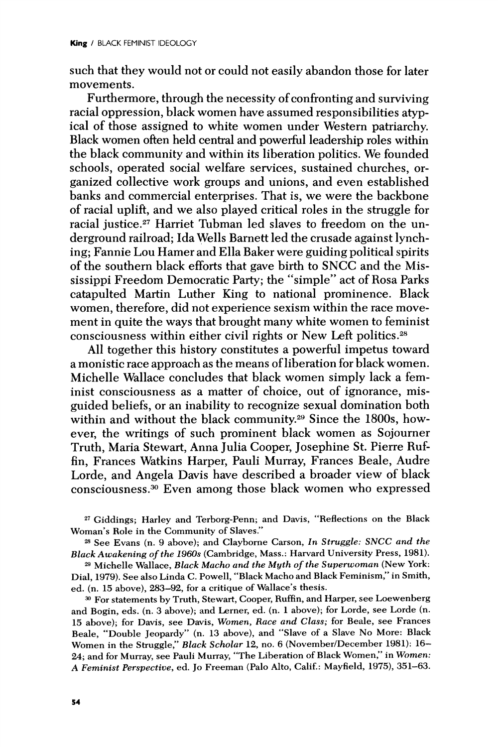**such that they would not or could not easily abandon those for later movements.** 

**Furthermore, through the necessity of confronting and surviving racial oppression, black women have assumed responsibilities atypical of those assigned to white women under Western patriarchy. Black women often held central and powerful leadership roles within the black community and within its liberation politics. We founded schools, operated social welfare services, sustained churches, organized collective work groups and unions, and even established banks and commercial enterprises. That is, we were the backbone of racial uplift, and we also played critical roles in the struggle for**  racial justice.<sup>27</sup> Harriet Tubman led slaves to freedom on the un**derground railroad; Ida Wells Barnett led the crusade against lynching; Fannie Lou Hamer and Ella Baker were guiding political spirits of the southern black efforts that gave birth to SNCC and the Mississippi Freedom Democratic Party; the "simple" act of Rosa Parks catapulted Martin Luther King to national prominence. Black women, therefore, did not experience sexism within the race movement in quite the ways that brought many white women to feminist consciousness within either civil rights or New Left politics.28** 

**All together this history constitutes a powerful impetus toward a monistic race approach as the means of liberation for black women. Michelle Wallace concludes that black women simply lack a feminist consciousness as a matter of choice, out of ignorance, misguided beliefs, or an inability to recognize sexual domination both within and without the black community.29 Since the 1800s, however, the writings of such prominent black women as Sojourner Truth, Maria Stewart, Anna Julia Cooper, Josephine St. Pierre Ruffin, Frances Watkins Harper, Pauli Murray, Frances Beale, Audre Lorde, and Angela Davis have described a broader view of black consciousness.30 Even among those black women who expressed** 

**<sup>27</sup>Giddings; Harley and Terborg-Penn; and Davis, "Reflections on the Black Woman's Role in the Community of Slaves."** 

**28 See Evans (n. 9 above); and Clayborne Carson, In Struggle: SNCC and the Black Awakening of the 1960s (Cambridge, Mass.: Harvard University Press, 1981).** 

**<sup>29</sup>Michelle Wallace, Black Macho and the Myth of the Superwoman (New York: Dial, 1979). See also Linda C. Powell, "Black Macho and Black Feminism," in Smith, ed. (n. 15 above), 283-92, for a critique of Wallace's thesis.** 

**30 For statements by Truth, Stewart, Cooper, Ruffin, and Harper, see Loewenberg and Bogin, eds. (n. 3 above); and Lerner, ed. (n. 1 above); for Lorde, see Lorde (n. 15 above); for Davis, see Davis, Women, Race and Class; for Beale, see Frances Beale, "Double Jeopardy" (n. 13 above), and "Slave of a Slave No More: Black Women in the Struggle," Black Scholar 12, no. 6 (November/December 1981): 16- 24; and for Murray, see Pauli Murray, "The Liberation of Black Women," in Women: A Feminist Perspective, ed. Jo Freeman (Palo Alto, Calif.: Mayfield, 1975), 351-63.**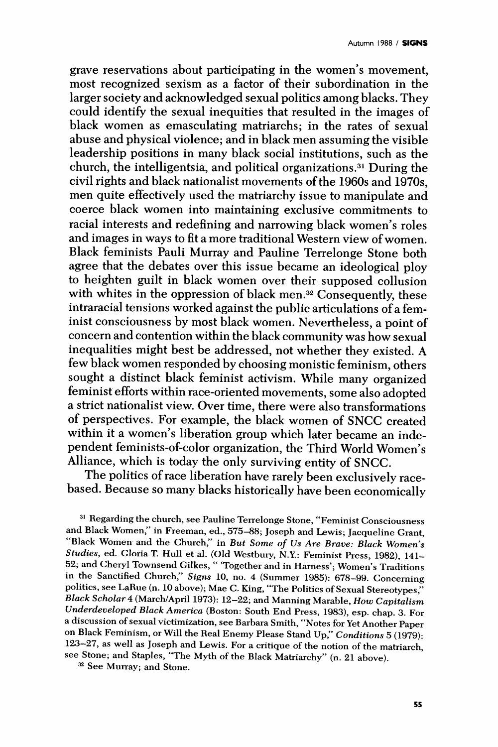**grave reservations about participating in the women's movement, most recognized sexism as a factor of their subordination in the larger society and acknowledged sexual politics among blacks. They could identify the sexual inequities that resulted in the images of black women as emasculating matriarchs; in the rates of sexual abuse and physical violence; and in black men assuming the visible leadership positions in many black social institutions, such as the church, the intelligentsia, and political organizations.31 During the civil rights and black nationalist movements of the 1960s and 1970s, men quite effectively used the matriarchy issue to manipulate and coerce black women into maintaining exclusive commitments to racial interests and redefining and narrowing black women's roles and images in ways to fit a more traditional Western view of women. Black feminists Pauli Murray and Pauline Terrelonge Stone both agree that the debates over this issue became an ideological ploy to heighten guilt in black women over their supposed collusion with whites in the oppression of black men.32 Consequently, these intraracial tensions worked against the public articulations of a feminist consciousness by most black women. Nevertheless, a point of concern and contention within the black community was how sexual inequalities might best be addressed, not whether they existed. A few black women responded by choosing monistic feminism, others sought a distinct black feminist activism. While many organized feminist efforts within race-oriented movements, some also adopted a strict nationalist view. Over time, there were also transformations of perspectives. For example, the black women of SNCC created within it a women's liberation group which later became an independent feminists-of-color organization, the Third World Women's Alliance, which is today the only surviving entity of SNCC.** 

**The politics of race liberation have rarely been exclusively racebased. Because so many blacks historically have been economically** 

**<sup>31</sup>Regarding the church, see Pauline Terrelonge Stone, "Feminist Consciousness and Black Women," in Freeman, ed., 575-88; Joseph and Lewis; Jacqueline Grant, "Black Women and the Church," in But Some of Us Are Brave: Black Women's Studies, ed. Gloria T. Hull et al. (Old Westbury, N.Y.: Feminist Press, 1982), 141- 52; and Cheryl Townsend Gilkes, " 'Together and in Harness'; Women's Traditions in the Sanctified Church," Signs 10, no. 4 (Summer 1985): 678-99. Concerning politics, see LaRue (n. 10 above); Mae C. King, "The Politics of Sexual Stereotypes," Black Scholar 4 (March/April 1973): 12-22; and Manning Marable, How Capitalism Underdeveloped Black America (Boston: South End Press, 1983), esp. chap. 3. For a discussion of sexual victimization, see Barbara Smith, "Notes for Yet Another Paper on Black Feminism, or Will the Real Enemy Please Stand Up," Conditions 5 (1979): 123-27, as well as Joseph and Lewis. For a critique of the notion of the matriarch, see Stone; and Staples, "The Myth of the Black Matriarchy" (n. 21 above). <sup>32</sup>See Murray; and Stone.**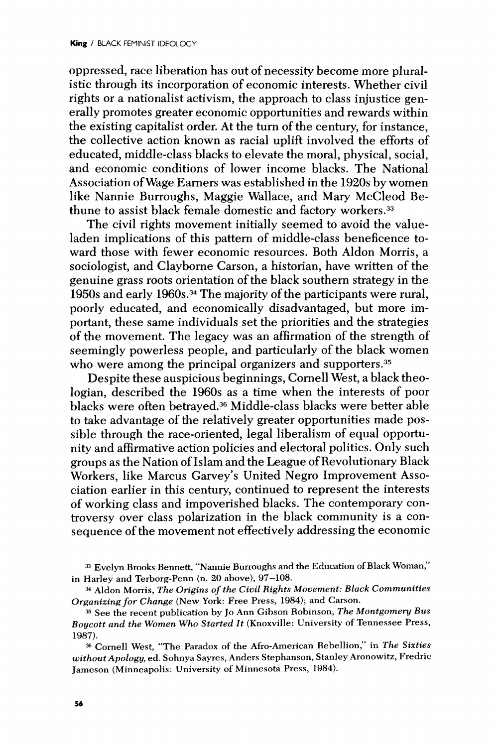**oppressed, race liberation has out of necessity become more pluralistic through its incorporation of economic interests. Whether civil rights or a nationalist activism, the approach to class injustice generally promotes greater economic opportunities and rewards within the existing capitalist order. At the turn of the century, for instance, the collective action known as racial uplift involved the efforts of educated, middle-class blacks to elevate the moral, physical, social, and economic conditions of lower income blacks. The National Association of Wage Earners was established in the 1920s by women like Nannie Burroughs, Maggie Wallace, and Mary McCleod Bethune to assist black female domestic and factory workers.33** 

**The civil rights movement initially seemed to avoid the valueladen implications of this pattern of middle-class beneficence toward those with fewer economic resources. Both Aldon Morris, a sociologist, and Clayborne Carson, a historian, have written of the genuine grass roots orientation of the black southern strategy in the 1950s and early 1960s.34 The majority of the participants were rural, poorly educated, and economically disadvantaged, but more important, these same individuals set the priorities and the strategies of the movement. The legacy was an affirmation of the strength of seemingly powerless people, and particularly of the black women who were among the principal organizers and supporters.35** 

**Despite these auspicious beginnings, Cornell West, a black theologian, described the 1960s as a time when the interests of poor blacks were often betrayed.36 Middle-class blacks were better able to take advantage of the relatively greater opportunities made possible through the race-oriented, legal liberalism of equal opportunity and affirmative action policies and electoral politics. Only such groups as the Nation of Islam and the League of Revolutionary Black Workers, like Marcus Garvey's United Negro Improvement Association earlier in this century, continued to represent the interests of working class and impoverished blacks. The contemporary controversy over class polarization in the black community is a consequence of the movement not effectively addressing the economic** 

**.33 Evelyn Brooks Bennett, "Nannie Burroughs and the Education of Black Woman," in Harley and Terborg-Penn (n. 20 above), 97-108.** 

**34 Aldon Morris, The Origins of the Civil Rights Movement: Black Communities**  Organizing for Change (New York: Free Press, 1984); and Carson.

**35 See the recent publication by Jo Ann Gibson Robinson, The Montgomery Bus Boycott and the Women Who Started It (Knoxville: University of Tennessee Press, 1987).** 

**36 Cornell West, "The Paradox of the Afro-American Rebellion;' in The Sixties without Apology, ed. Sohnya Sayres, Anders Stephanson, Stanley Aronowitz, Fredric Jameson (Minneapolis: University of Minnesota Press, 1984).**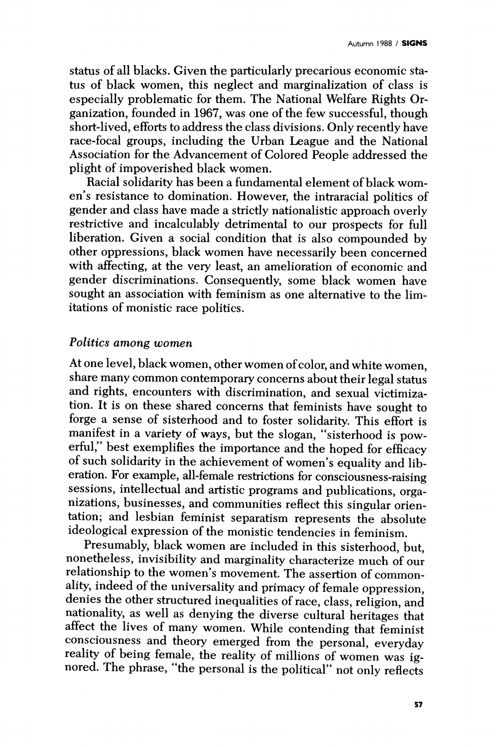**status of all blacks. Given the particularly precarious economic status of black women, this neglect and marginalization of class is especially problematic for them. The National Welfare Rights Organization, founded in 1967, was one of the few successful, though short-lived, efforts to address the class divisions. Only recently have race-focal groups, including the Urban League and the National Association for the Advancement of Colored People addressed the plight of impoverished black women.** 

**Racial solidarity has been a fundamental element of black women's resistance to domination. However, the intraracial politics of gender and class have made a strictly nationalistic approach overly restrictive and incalculably detrimental to our prospects for full liberation. Given a social condition that is also compounded by other oppressions, black women have necessarily been concerned with affecting, at the very least, an amelioration of economic and gender discriminations. Consequently, some black women have sought an association with feminism as one alternative to the limitations of monistic race politics.** 

## **Politics among women**

**At one level, black women, other women of color, and white women, share many common contemporary concerns about their legal status and rights, encounters with discrimination, and sexual victimization. It is on these shared concerns that feminists have sought to forge a sense of sisterhood and to foster solidarity. This effort is manifest in a variety of ways, but the slogan, "sisterhood is powerful," best exemplifies the importance and the hoped for efficacy of such solidarity in the achievement of women's equality and liberation. For example, all-female restrictions for consciousness-raising sessions, intellectual and artistic programs and publications, organizations, businesses, and communities reflect this singular orientation; and lesbian feminist separatism represents the absolute ideological expression of the monistic tendencies in feminism.** 

**Presumably, black women are included in this sisterhood, but, nonetheless, invisibility and marginality characterize much of our relationship to the women's movement. The assertion of common**denies the other structured inequalities of race, class, religion, and **nationality, as well as denying the diverse cultural heritages that affect the lives of many women. While contending that feminist consciousness and theory emerged from the personal, everyday**  nored. The phrase, "the personal is the political" not only reflects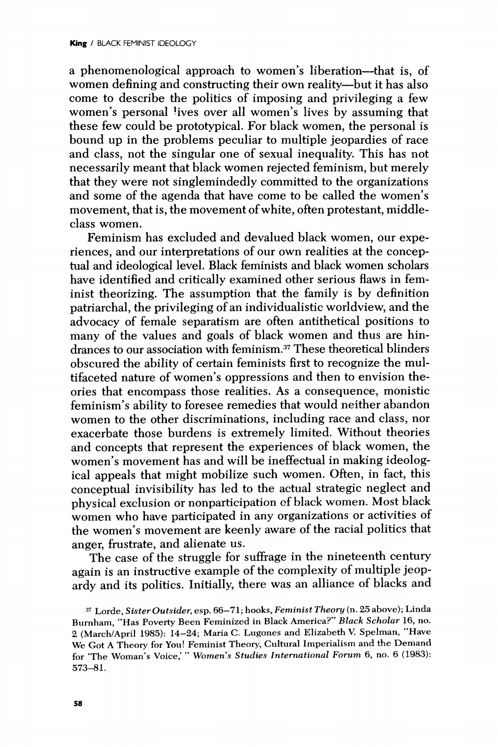**a phenomenological approach to women's liberation-that is, of women defining and constructing their own reality-but it has also come to describe the politics of imposing and privileging a few women's personal lives over all women's lives by assuming that these few could be prototypical. For black women, the personal is bound up in the problems peculiar to multiple jeopardies of race and class, not the singular one of sexual inequality. This has not necessarily meant that black women rejected feminism, but merely that they were not singlemindedly committed to the organizations and some of the agenda that have come to be called the women's movement, that is, the movement of white, often protestant, middleclass women.** 

**Feminism has excluded and devalued black women, our experiences, and our interpretations of our own realities at the conceptual and ideological level. Black feminists and black women scholars have identified and critically examined other serious flaws in feminist theorizing. The assumption that the family is by definition patriarchal, the privileging of an individualistic worldview, and the advocacy of female separatism are often antithetical positions to many of the values and goals of black women and thus are hindrances to our association with feminism.37 These theoretical blinders obscured the ability of certain feminists first to recognize the multifaceted nature of women's oppressions and then to envision theories that encompass those realities. As a consequence, monistic feminism's ability to foresee remedies that would neither abandon women to the other discriminations, including race and class, nor exacerbate those burdens is extremely limited. Without theories and concepts that represent the experiences of black women, the women's movement has and will be ineffectual in making ideological appeals that might mobilize such women. Often, in fact, this conceptual invisibility has led to the actual strategic neglect and physical exclusion or nonparticipation of black women. Most black women who have participated in any organizations or activities of the women's movement are keenly aware of the racial politics that anger, frustrate, and alienate us.** 

**The case of the struggle for suffrage in the nineteenth century again is an instructive example of the complexity of multiple jeopardy and its politics. Initially, there was an alliance of blacks and** 

**<sup>37</sup>Lorde, Sister Outsider, esp. 66-71; hooks, Feminist Theory (n. 25 above); Linda Burnham, "Has Poverty Been Feminized in Black America?" Black Scholar 16, no. 2 (March/April 1985): 14-24; Maria C. Lugones and Elizabeth V. Spelman, "Have We Got A Theory for You! Feminist Theory, Cultural Imperialism and the Demand for 'The Woman's Voice,'" Women's Studies International Forum 6, no. 6 (1983): 573-81.**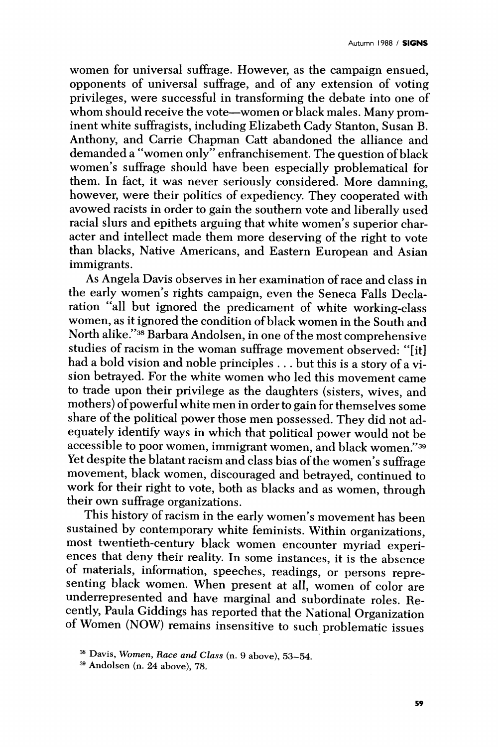**women for universal suffrage. However, as the campaign ensued, opponents of universal suffrage, and of any extension of voting privileges, were successful in transforming the debate into one of whom should receive the vote-women or black males. Many prominent white suffragists, including Elizabeth Cady Stanton, Susan B. Anthony, and Carrie Chapman Catt abandoned the alliance and demanded a "women only" enfranchisement. The question of black women's suffrage should have been especially problematical for them. In fact, it was never seriously considered. More damning, however, were their politics of expediency. They cooperated with avowed racists in order to gain the southern vote and liberally used racial slurs and epithets arguing that white women's superior character and intellect made them more deserving of the right to vote than blacks, Native Americans, and Eastern European and Asian immigrants.** 

**As Angela Davis observes in her examination of race and class in the early women's rights campaign, even the Seneca Falls Declaration "all but ignored the predicament of white working-class women, as it ignored the condition of black women in the South and North alike."38 Barbara Andolsen, in one of the most comprehensive studies of racism in the woman suffrage movement observed: "[it] had a bold vision and noble principles ... but this is a story of a vision betrayed. For the white women who led this movement came to trade upon their privilege as the daughters (sisters, wives, and mothers) of powerful white men in order to gain for themselves some share of the political power those men possessed. They did not adequately identify ways in which that political power would not be accessible to poor women, immigrant women, and black women."39 Yet despite the blatant racism and class bias of the women's suffrage movement, black women, discouraged and betrayed, continued to work for their right to vote, both as blacks and as women, through their own suffrage organizations.** 

**This history of racism in the early women's movement has been sustained by contemporary white feminists. Within organizations, most twentieth-century black women encounter myriad experiences that deny their reality. In some instances, it is the absence of materials, information, speeches, readings, or persons representing black women. When present at all, women of color are underrepresented and have marginal and subordinate roles. Re**of Women (NOW) remains insensitive to such problematic issues

**<sup>3</sup> Davis, Women, Race and Class (n. 9 above), 53-54. 39 Andolsen (n. 24 above), 78.**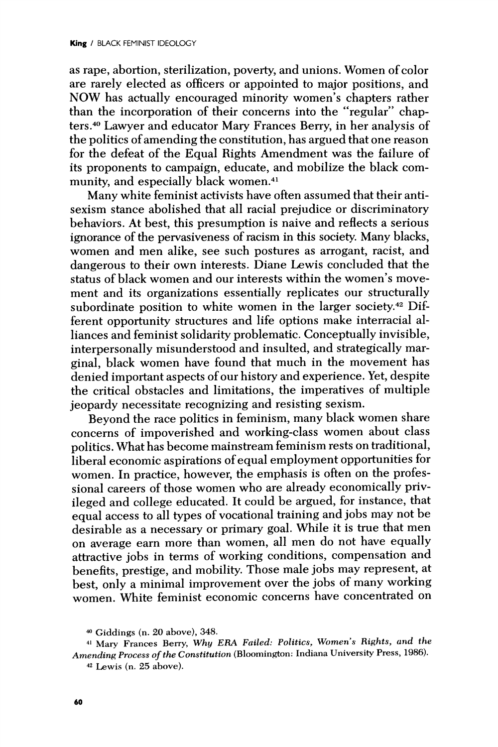**as rape, abortion, sterilization, poverty, and unions. Women of color are rarely elected as officers or appointed to major positions, and NOW has actually encouraged minority women's chapters rather than the incorporation of their concerns into the "regular" chapters.40 Lawyer and educator Mary Frances Berry, in her analysis of the politics of amending the constitution, has argued that one reason for the defeat of the Equal Rights Amendment was the failure of its proponents to campaign, educate, and mobilize the black community, and especially black women.4'** 

**Many white feminist activists have often assumed that their antisexism stance abolished that all racial prejudice or discriminatory behaviors. At best, this presumption is naive and reflects a serious ignorance of the pervasiveness of racism in this society. Many blacks, women and men alike, see such postures as arrogant, racist, and dangerous to their own interests. Diane Lewis concluded that the status of black women and our interests within the women's movement and its organizations essentially replicates our structurally subordinate position to white women in the larger society.42 Different opportunity structures and life options make interracial alliances and feminist solidarity problematic. Conceptually invisible, interpersonally misunderstood and insulted, and strategically marginal, black women have found that much in the movement has denied important aspects of our history and experience. Yet, despite the critical obstacles and limitations, the imperatives of multiple jeopardy necessitate recognizing and resisting sexism.** 

**Beyond the race politics in feminism, many black women share concerns of impoverished and working-class women about class politics. What has become mainstream feminism rests on traditional, liberal economic aspirations of equal employment opportunities for women. In practice, however, the emphasis is often on the professional careers of those women who are already economically privileged and college educated. It could be argued, for instance, that equal access to all types of vocational training and jobs may not be desirable as a necessary or primary goal. While it is true that men on average earn more than women, all men do not have equally attractive jobs in terms of working conditions, compensation and benefits, prestige, and mobility. Those male jobs may represent, at best, only a minimal improvement over the jobs of many working women. White feminist economic concerns have concentrated on** 

**<sup>40</sup> Giddings (n. 20 above), 348.** 

**<sup>41</sup>Mary Frances Berry, Why ERA Failed: Politics, Women's Rights, and the Amending Process of the Constitution (Bloomington: Indiana University Press, 1986).** 

**<sup>42</sup>Lewis (n. 25 above).**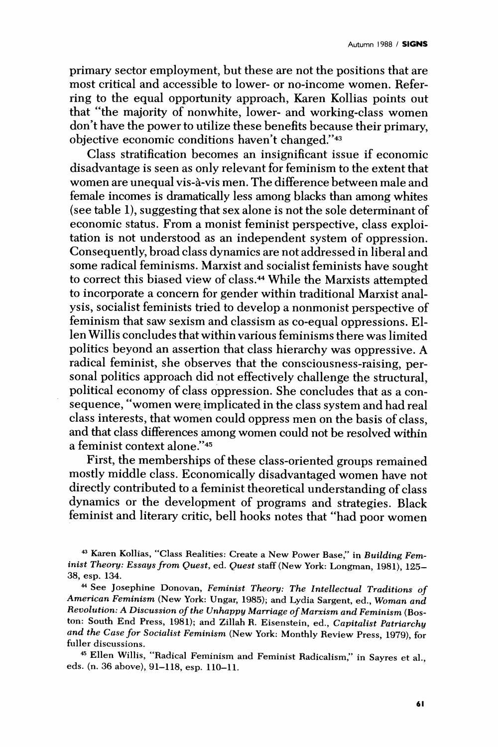**primary sector employment, but these are not the positions that are most critical and accessible to lower- or no-income women. Referring to the equal opportunity approach, Karen Kollias points out that "the majority of nonwhite, lower- and working-class women don't have the power to utilize these benefits because their primary, objective economic conditions haven't changed."43** 

**Class stratification becomes an insignificant issue if economic disadvantage is seen as only relevant for feminism to the extent that women are unequal vis-a-vis men. The difference between male and female incomes is dramatically less among blacks than among whites (see table 1), suggesting that sex alone is not the sole determinant of economic status. From a monist feminist perspective, class exploitation is not understood as an independent system of oppression. Consequently, broad class dynamics are not addressed in liberal and some radical feminisms. Marxist and socialist feminists have sought to correct this biased view of class.44 While the Marxists attempted to incorporate a concern for gender within traditional Marxist analysis, socialist feminists tried to develop a nonmonist perspective of feminism that saw sexism and classism as co-equal oppressions. Ellen Willis concludes that within various feminisms there was limited politics beyond an assertion that class hierarchy was oppressive. A radical feminist, she observes that the consciousness-raising, personal politics approach did not effectively challenge the structural, political economy of class oppression. She concludes that as a consequence, "women were implicated in the class system and had real class interests, that women could oppress men on the basis of class, and that class differences among women could not be resolved within a feminist context alone."45** 

**First, the memberships of these class-oriented groups remained mostly middle class. Economically disadvantaged women have not directly contributed to a feminist theoretical understanding of class dynamics or the development of programs and strategies. Black feminist and literary critic, bell hooks notes that "had poor women** 

**43 Karen Kollias, "Class Realities: Create a New Power Base," in Building Feminist Theory: Essays from Quest, ed. Quest staff (New York: Longman, 1981), 125- 38, esp. 134.** 

**44 See Josephine Donovan, Feminist Theory: The Intellectual Traditions of American Feminism (New York: Ungar, 1985); and Lydia Sargent, ed., Woman and Revolution: A Discussion of the Unhappy Marriage of Marxism and Feminism (Boston: South End Press, 1981); and Zillah R. Eisenstein, ed., Capitalist Patriarchy and the Case for Socialist Feminism (New York: Monthly Review Press, 1979), for fuller discussions.** 

**<sup>45</sup>Ellen Willis, "Radical Feminism and Feminist Radicalism," in Sayres et al., eds. (n. 36 above), 91-118, esp. 110-11.**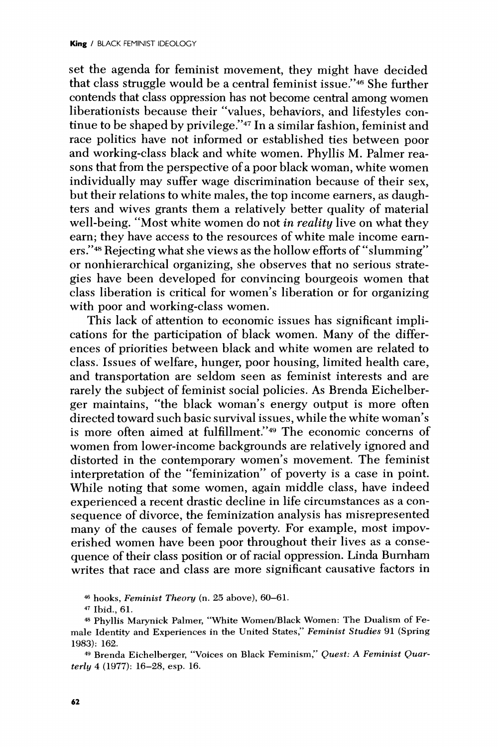**set the agenda for feminist movement, they might have decided that class struggle would be a central feminist issue."46 She further contends that class oppression has not become central among women liberationists because their "values, behaviors, and lifestyles continue to be shaped by privilege."47 In a similar fashion, feminist and race politics have not informed or established ties between poor and working-class black and white women. Phyllis M. Palmer reasons that from the perspective of a poor black woman, white women individually may suffer wage discrimination because of their sex, but their relations to white males, the top income earners, as daughters and wives grants them a relatively better quality of material well-being. "Most white women do not in reality live on what they earn; they have access to the resources of white male income earners."48 Rejecting what she views as the hollow efforts of "slumming" or nonhierarchical organizing, she observes that no serious strategies have been developed for convincing bourgeois women that class liberation is critical for women's liberation or for organizing with poor and working-class women.** 

**This lack of attention to economic issues has significant implications for the participation of black women. Many of the differences of priorities between black and white women are related to class. Issues of welfare, hunger, poor housing, limited health care, and transportation are seldom seen as feminist interests and are rarely the subject of feminist social policies. As Brenda Eichelberger maintains, "the black woman's energy output is more often directed toward such basic survival issues, while the white woman's**  is more often aimed at fulfillment."<sup>49</sup> The economic concerns of **women from lower-income backgrounds are relatively ignored and distorted in the contemporary women's movement. The feminist interpretation of the "feminization" of poverty is a case in point. While noting that some women, again middle class, have indeed experienced a recent drastic decline in life circumstances as a consequence of divorce, the feminization analysis has misrepresented many of the causes of female poverty. For example, most impoverished women have been poor throughout their lives as a consequence of their class position or of racial oppression. Linda Bumham writes that race and class are more significant causative factors in** 

**<sup>46</sup>hooks, Feminist Theory (n. 25 above), 60-61.** 

**<sup>47</sup>Ibid., 61.** 

**49 Brenda Eichelberger, "Voices on Black Feminism," Quest: A Feminist Quarterly 4 (1977): 16-28, esp. 16.** 

**<sup>48</sup> Phyllis Marynick Palmer, "White Women/Black Women: The Dualism of Female Identity and Experiences in the United States," Feminist Studies 91 (Spring 1983): 162.**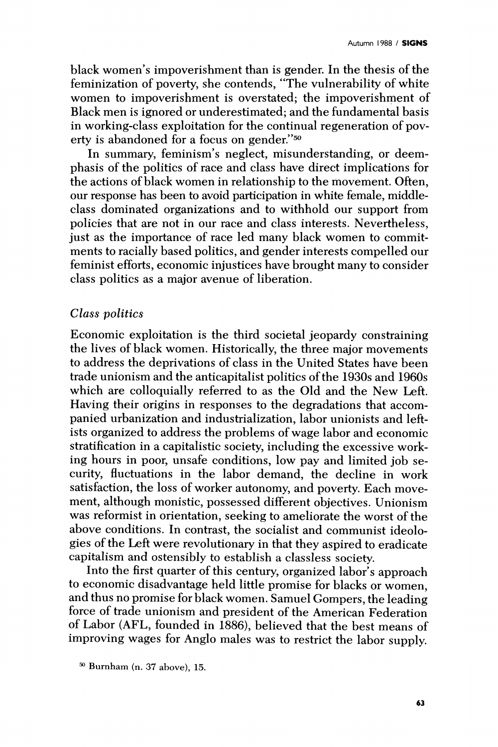**black women's impoverishment than is gender. In the thesis of the feminization of poverty, she contends, "The vulnerability of white women to impoverishment is overstated; the impoverishment of Black men is ignored or underestimated; and the fundamental basis in working-class exploitation for the continual regeneration of poverty is abandoned for a focus on gender."50** 

**In summary, feminism's neglect, misunderstanding, or deemphasis of the politics of race and class have direct implications for the actions of black women in relationship to the movement. Often, our response has been to avoid participation in white female, middleclass dominated organizations and to withhold our support from policies that are not in our race and class interests. Nevertheless, just as the importance of race led many black women to commitments to racially based politics, and gender interests compelled our feminist efforts, economic injustices have brought many to consider class politics as a major avenue of liberation.** 

# **Class politics**

**Economic exploitation is the third societal jeopardy constraining the lives of black women. Historically, the three major movements to address the deprivations of class in the United States have been trade unionism and the anticapitalist politics of the 1930s and 1960s which are colloquially referred to as the Old and the New Left. Having their origins in responses to the degradations that accompanied urbanization and industrialization, labor unionists and leftists organized to address the problems of wage labor and economic stratification in a capitalistic society, including the excessive working hours in poor, unsafe conditions, low pay and limited job security, fluctuations in the labor demand, the decline in work satisfaction, the loss of worker autonomy, and poverty. Each movement, although monistic, possessed different objectives. Unionism was reformist in orientation, seeking to ameliorate the worst of the above conditions. In contrast, the socialist and communist ideologies of the Left were revolutionary in that they aspired to eradicate capitalism and ostensibly to establish a classless society.** 

**Into the first quarter of this century, organized labor's approach to economic disadvantage held little promise for blacks or women, and thus no promise for black women. Samuel Gompers, the leading force of trade unionism and president of the American Federation of Labor (AFL, founded in 1886), believed that the best means of improving wages for Anglo males was to restrict the labor supply.** 

**<sup>50</sup> Burnham (n. 37 above), 15.**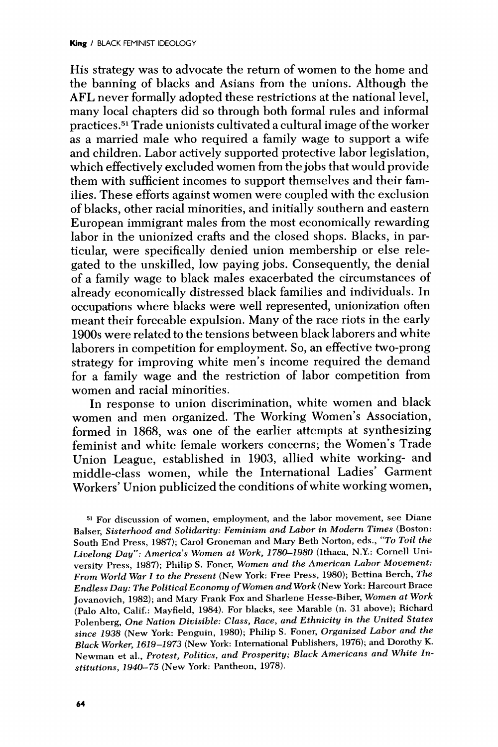**His strategy was to advocate the return of women to the home and the banning of blacks and Asians from the unions. Although the AFL never formally adopted these restrictions at the national level, many local chapters did so through both formal rules and informal practices.51 Trade unionists cultivated a cultural image of the worker as a married male who required a family wage to support a wife and children. Labor actively supported protective labor legislation, which effectively excluded women from the jobs that would provide them with sufficient incomes to support themselves and their families. These efforts against women were coupled with the exclusion of blacks, other racial minorities, and initially southern and eastern European immigrant males from the most economically rewarding labor in the unionized crafts and the closed shops. Blacks, in particular, were specifically denied union membership or else relegated to the unskilled, low paying jobs. Consequently, the denial of a family wage to black males exacerbated the circumstances of already economically distressed black families and individuals. In occupations where blacks were well represented, unionization often meant their forceable expulsion. Many of the race riots in the early 1900s were related to the tensions between black laborers and white laborers in competition for employment. So, an effective two-prong strategy for improving white men's income required the demand for a family wage and the restriction of labor competition from women and racial minorities.** 

**In response to union discrimination, white women and black women and men organized. The Working Women's Association, formed in 1868, was one of the earlier attempts at synthesizing feminist and white female workers concerns; the Women's Trade Union League, established in 1903, allied white working- and middle-class women, while the International Ladies' Garment Workers' Union publicized the conditions of white working women,** 

**51 For discussion of women, employment, and the labor movement, see Diane Balser, Sisterhood and Solidarity: Feminism and Labor in Modern Times (Boston: South End Press, 1987); Carol Groneman and Mary Beth Norton, eds., "To Toil the Livelong Day": America's Women at Work, 1780-1980 (Ithaca, N.Y.: Cornell University Press, 1987); Philip S. Foner, Women and the American Labor Movement: From World War I to the Present (New York: Free Press, 1980); Bettina Berch, The Endless Day: The Political Economy of Women and Work (New York: Harcourt Brace Jovanovich, 1982); and Mary Frank Fox and Sharlene Hesse-Biber, Women at Work (Palo Alto, Calif.: Mayfield, 1984). For blacks, see Marable (n. 31 above); Richard Polenberg, One Nation Divisible: Class, Race, and Ethnicity in the United States since 1938 (New York: Penguin, 1980); Philip S. Foner, Organized Labor and the Black Worker, 1619-1973 (New York: International Publishers, 1976); and Dorothy K. Newman et al., Protest, Politics, and Prosperity; Black Americans and White Institutions, 1940-75 (New York: Pantheon, 1978).**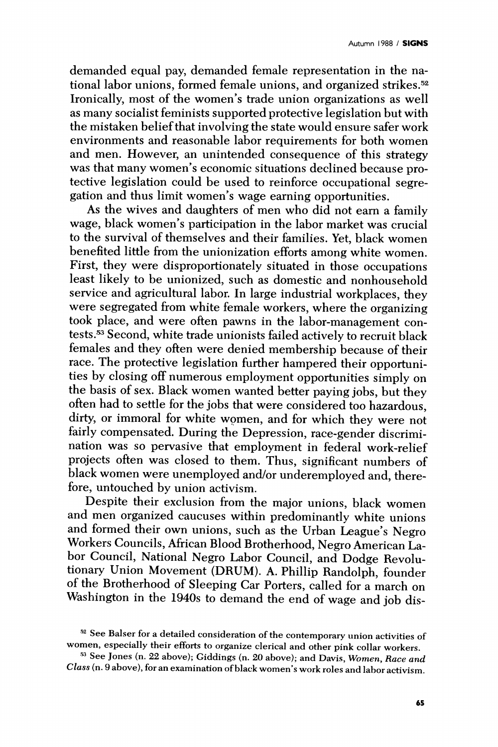**demanded equal pay, demanded female representation in the national labor unions, formed female unions, and organized strikes.52 Ironically, most of the women's trade union organizations as well as many socialist feminists supported protective legislation but with the mistaken belief that involving the state would ensure safer work environments and reasonable labor requirements for both women and men. However, an unintended consequence of this strategy was that many women's economic situations declined because protective legislation could be used to reinforce occupational segregation and thus limit women's wage earning opportunities.** 

**As the wives and daughters of men who did not earn a family wage, black women's participation in the labor market was crucial to the survival of themselves and their families. Yet, black women benefited little from the unionization efforts among white women. First, they were disproportionately situated in those occupations least likely to be unionized, such as domestic and nonhousehold service and agricultural labor. In large industrial workplaces, they were segregated from white female workers, where the organizing took place, and were often pawns in the labor-management contests.53 Second, white trade unionists failed actively to recruit black females and they often were denied membership because of their race. The protective legislation further hampered their opportunities by closing off numerous employment opportunities simply on the basis of sex. Black women wanted better paying jobs, but they often had to settle for the jobs that were considered too hazardous, dirty, or immoral for white women, and for which they were not fairly compensated. During the Depression, race-gender discrimination was so pervasive that employment in federal work-relief projects often was closed to them. Thus, significant numbers of black women were unemployed and/or underemployed and, therefore, untouched by union activism.** 

**Despite their exclusion from the major unions, black women and men organized caucuses within predominantly white unions**  Workers Councils, African Blood Brotherhood, Negro American La**bor Council, National Negro Labor Council, and Dodge Revolutionary Union Movement (DRUM). A. Phillip Randolph, founder of the Brotherhood of Sleeping Car Porters, called for a march on Washington in the 1940s to demand the end of wage and job dis-**

**<sup>52</sup>See Balser for a detailed consideration of the contemporary union activities of women, especially their efforts to organize clerical and other pink collar workers.** 

**<sup>53</sup> See Jones (n. 22 above); Giddings (n. 20 above); and Davis, Women, Race and Class (n. 9 above), for an examination of black women's work roles and labor activism.**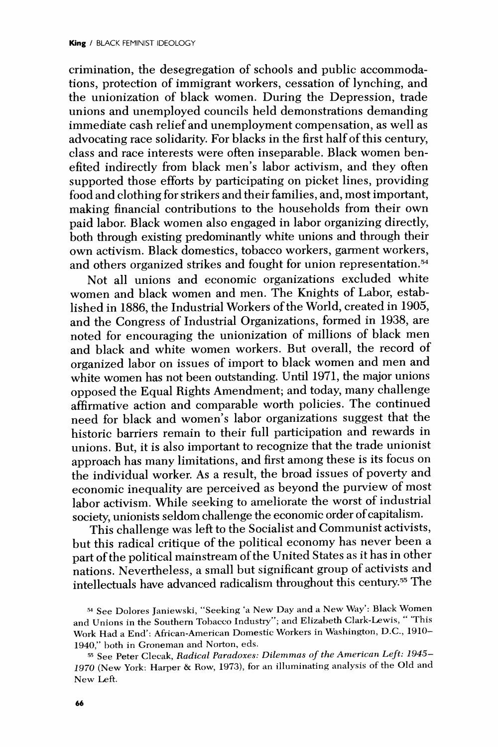**crimination, the desegregation of schools and public accommodations, protection of immigrant workers, cessation of lynching, and the unionization of black women. During the Depression, trade unions and unemployed councils held demonstrations demanding immediate cash relief and unemployment compensation, as well as advocating race solidarity. For blacks in the first half of this century, class and race interests were often inseparable. Black women benefited indirectly from black men's labor activism, and they often supported those efforts by participating on picket lines, providing food and clothing for strikers and their families, and, most important, making financial contributions to the households from their own paid labor. Black women also engaged in labor organizing directly, both through existing predominantly white unions and through their own activism. Black domestics, tobacco workers, garment workers, and others organized strikes and fought for union representation.54** 

**Not all unions and economic organizations excluded white women and black women and men. The Knights of Labor, established in 1886, the Industrial Workers of the World, created in 1905, and the Congress of Industrial Organizations, formed in 1938, are noted for encouraging the unionization of millions of black men and black and white women workers. But overall, the record of organized labor on issues of import to black women and men and white women has not been outstanding. Until 1971, the major unions opposed the Equal Rights Amendment; and today, many challenge affirmative action and comparable worth policies. The continued need for black and women's labor organizations suggest that the historic barriers remain to their full participation and rewards in unions. But, it is also important to recognize that the trade unionist approach has many limitations, and first among these is its focus on the individual worker. As a result, the broad issues of poverty and economic inequality are perceived as beyond the purview of most labor activism. While seeking to ameliorate the worst of industrial society, unionists seldom challenge the economic order of capitalism.** 

**This challenge was left to the Socialist and Communist activists, but this radical critique of the political economy has never been a part of the political mainstream of the United States as it has in other nations. Nevertheless, a small but significant group of activists and intellectuals have advanced radicalism throughout this century.55 The** 

**; See Dolores Janiewski, "Seeking 'a New Day and a New Way': Black Women and Unions in the Southern Tobacco Industry"; and Elizabeth Clark-Lewis, " 'This Work Had a End': African-American Domestic Workers in Washington, D.C., 1910- 1940," both in Groneman and Norton, eds.** 

**-5 See Peter Clecak, Radical Paradoxes: Dilemmas of the American Left: 1945- 1970 (New York: Harper & Row, 1973), for an illuminating analysis of the Old and New Left.**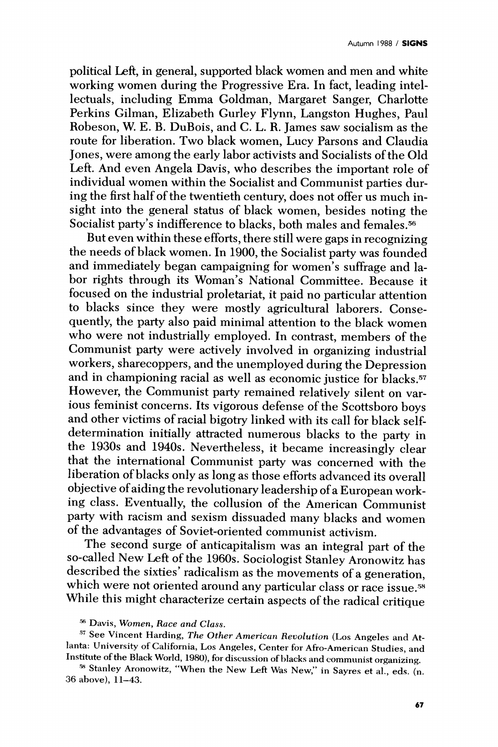**political Left, in general, supported black women and men and white working women during the Progressive Era. In fact, leading intellectuals, including Emma Goldman, Margaret Sanger, Charlotte Perkins Gilman, Elizabeth Gurley Flynn, Langston Hughes, Paul Robeson, W. E. B. DuBois, and C. L. R. James saw socialism as the route for liberation. Two black women, Lucy Parsons and Claudia Jones, were among the early labor activists and Socialists of the Old Left. And even Angela Davis, who describes the important role of individual women within the Socialist and Communist parties during the first half of the twentieth century, does not offer us much insight into the general status of black women, besides noting the Socialist party's indifference to blacks, both males and females.56** 

**But even within these efforts, there still were gaps in recognizing the needs of black women. In 1900, the Socialist party was founded and immediately began campaigning for women's suffrage and labor rights through its Woman's National Committee. Because it focused on the industrial proletariat, it paid no particular attention to blacks since they were mostly agricultural laborers. Consequently, the party also paid minimal attention to the black women who were not industrially employed. In contrast, members of the Communist party were actively involved in organizing industrial workers, sharecoppers, and the unemployed during the Depression and in championing racial as well as economic justice for blacks.57 However, the Communist party remained relatively silent on various feminist concerns. Its vigorous defense of the Scottsboro boys and other victims of racial bigotry linked with its call for black selfdetermination initially attracted numerous blacks to the party in the 1930s and 1940s. Nevertheless, it became increasingly clear that the international Communist party was concerned with the liberation of blacks only as long as those efforts advanced its overall objective of aiding the revolutionary leadership of a European working class. Eventually, the collusion of the American Communist party with racism and sexism dissuaded many blacks and women of the advantages of Soviet-oriented communist activism.** 

**The second surge of anticapitalism was an integral part of the so-called New Left of the 1960s. Sociologist Stanley Aronowitz has**  which were not oriented around any particular class or race issue.<sup>58</sup> **While this might characterize certain aspects of the radical critique** 

**<sup>?</sup>f Davis, Women, Race and Class.** 

**<sup>57</sup> See Vincent Harding, The Other American Revolution (Los Angeles and Atlanta: University of California, Los Angeles, Center for Afro-American Studies, and** 

<sup>&</sup>lt;sup>58</sup> Stanley Aronowitz, "When the New Left Was New," in Sayres et al., eds. (n. **36 above), 11-43.**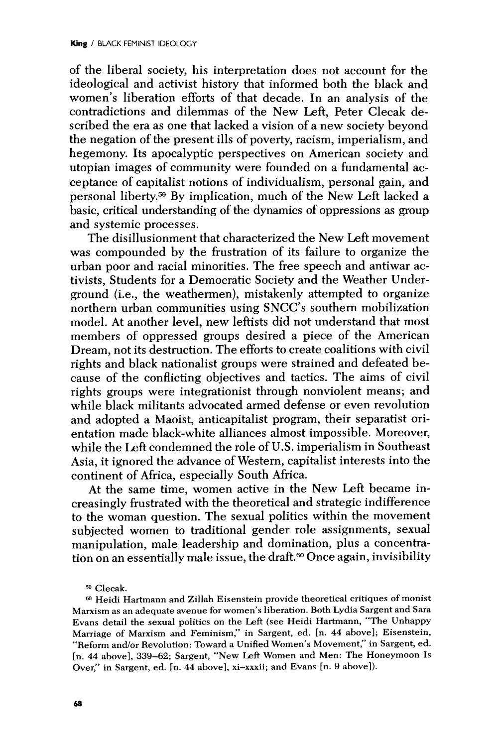**of the liberal society, his interpretation does not account for the ideological and activist history that informed both the black and women's liberation efforts of that decade. In an analysis of the contradictions and dilemmas of the New Left, Peter Clecak described the era as one that lacked a vision of a new society beyond the negation of the present ills of poverty, racism, imperialism, and hegemony. Its apocalyptic perspectives on American society and utopian images of community were founded on a fundamental acceptance of capitalist notions of individualism, personal gain, and personal liberty.59 By implication, much of the New Left lacked a basic, critical understanding of the dynamics of oppressions as group and systemic processes.** 

**The disillusionment that characterized the New Left movement was compounded by the frustration of its failure to organize the urban poor and racial minorities. The free speech and antiwar activists, Students for a Democratic Society and the Weather Underground (i.e., the weathermen), mistakenly attempted to organize northern urban communities using SNCC's southern mobilization model. At another level, new leftists did not understand that most members of oppressed groups desired a piece of the American Dream, not its destruction. The efforts to create coalitions with civil rights and black nationalist groups were strained and defeated because of the conflicting objectives and tactics. The aims of civil rights groups were integrationist through nonviolent means; and while black militants advocated armed defense or even revolution and adopted a Maoist, anticapitalist program, their separatist orientation made black-white alliances almost impossible. Moreover, while the Left condemned the role of U.S. imperialism in Southeast Asia, it ignored the advance of Western, capitalist interests into the continent of Africa, especially South Africa.** 

**At the same time, women active in the New Left became increasingly frustrated with the theoretical and strategic indifference to the woman question. The sexual politics within the movement subjected women to traditional gender role assignments, sexual manipulation, male leadership and domination, plus a concentration on an essentially male issue, the draft.6? Once again, invisibility** 

**59 Clecak.** 

**60 Heidi Hartmann and Zillah Eisenstein provide theoretical critiques of monist Marxism as an adequate avenue for women's liberation. Both Lydia Sargent and Sara Evans detail the sexual politics on the Left (see Heidi Hartmann, "The Unhappy Marriage of Marxism and Feminism," in Sargent, ed. [n. 44 above]; Eisenstein, "Reform and/or Revolution: Toward a Unified Women's Movement," in Sargent, ed. [n. 44 above], 339-62; Sargent, "New Left Women and Men: The Honeymoon Is Over," in Sargent, ed. [n. 44 above], xi-xxxii; and Evans [n. 9 above]).**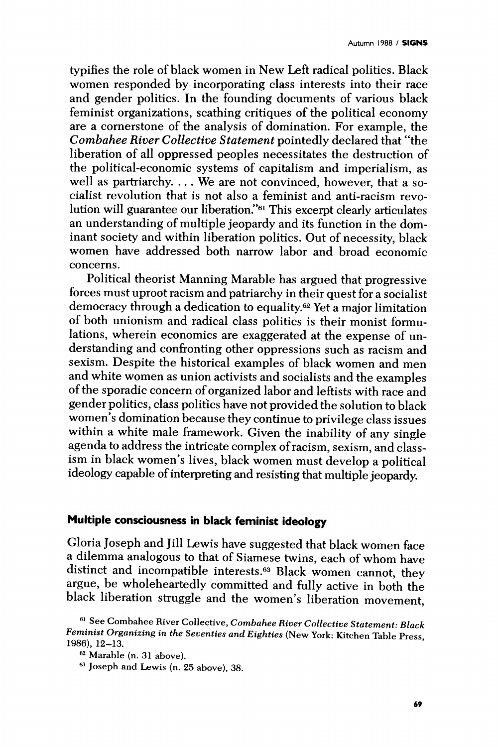**typifies the role of black women in New Left radical politics. Black women responded by incorporating class interests into their race and gender politics. In the founding documents of various black feminist organizations, scathing critiques of the political economy are a cornerstone of the analysis of domination. For example, the Combahee River Collective Statement pointedly declared that "the liberation of all oppressed peoples necessitates the destruction of the political-economic systems of capitalism and imperialism, as well as partriarchy. ... We are not convinced, however, that a socialist revolution that is not also a feminist and anti-racism revolution will guarantee our liberation.'61 This excerpt clearly articulates an understanding of multiple jeopardy and its function in the dominant society and within liberation politics. Out of necessity, black women have addressed both narrow labor and broad economic concerns.** 

**Political theorist Manning Marable has argued that progressive forces must uproot racism and patriarchy in their quest for a socialist democracy through a dedication to equality.62 Yet a major limitation of both unionism and radical class politics is their monist formulations, wherein economics are exaggerated at the expense of understanding and confronting other oppressions such as racism and sexism. Despite the historical examples of black women and men and white women as union activists and socialists and the examples of the sporadic concern of organized labor and leftists with race and gender politics, class politics have not provided the solution to black women's domination because they continue to privilege class issues within a white male framework. Given the inability of any single agenda to address the intricate complex of racism, sexism, and classism in black women's lives, black women must develop a political ideology capable of interpreting and resisting that multiple jeopardy.** 

# **Multiple consciousness in black feminist ideology**

**Gloria Joseph and Jill Lewis have suggested that black women face a dilemma analogous to that of Siamese twins, each of whom have distinct and incompatible interests.63 Black women cannot, they argue, be wholeheartedly committed and fully active in both the black liberation struggle and the women's liberation movement,** 

**<sup>61</sup>See Combahee River Collective, Combahee River Collective Statement: Black Feminist Organizing in the Seventies and Eighties (New York: Kitchen Table Press, 1986), 12-13.** 

**<sup>62</sup>Marable (n. 31 above).** 

**<sup>63</sup> Joseph and Lewis (n. 25 above), 38.**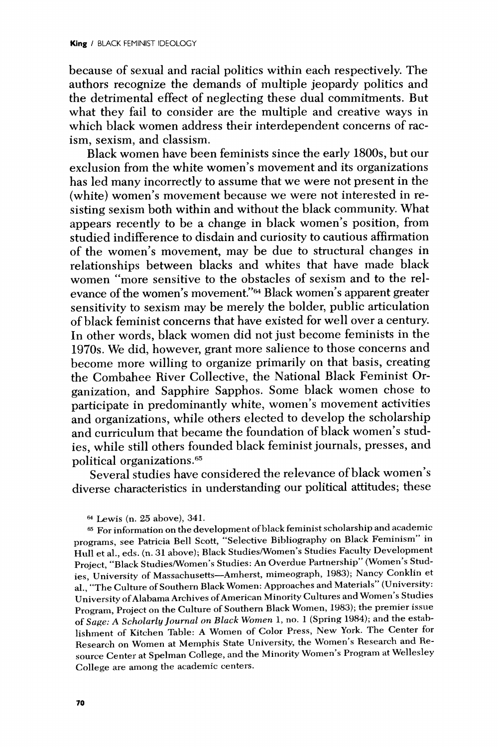**because of sexual and racial politics within each respectively. The authors recognize the demands of multiple jeopardy politics and the detrimental effect of neglecting these dual commitments. But what they fail to consider are the multiple and creative ways in which black women address their interdependent concerns of racism, sexism, and classism.** 

**Black women have been feminists since the early 1800s, but our exclusion from the white women's movement and its organizations has led many incorrectly to assume that we were not present in the (white) women's movement because we were not interested in resisting sexism both within and without the black community. What appears recently to be a change in black women's position, from studied indifference to disdain and curiosity to cautious affirmation of the women's movement, may be due to structural changes in relationships between blacks and whites that have made black women "more sensitive to the obstacles of sexism and to the relevance of the women's movement."64 Black women's apparent greater sensitivity to sexism may be merely the bolder, public articulation of black feminist concerns that have existed for well over a century. In other words, black women did not just become feminists in the 1970s. We did, however, grant more salience to those concerns and become more willing to organize primarily on that basis, creating the Combahee River Collective, the National Black Feminist Organization, and Sapphire Sapphos. Some black women chose to participate in predominantly white, women's movement activities and organizations, while others elected to develop the scholarship and curriculum that became the foundation of black women's studies, while still others founded black feminist journals, presses, and political organizations.65** 

**Several studies have considered the relevance of black women's diverse characteristics in understanding our political attitudes; these** 

**65 For information on the development of black feminist scholarship and academic programs, see Patricia Bell Scott, "Selective Bibliography on Black Feminism" in Hull et al., eds. (n. 31 above); Black Studies/Women's Studies Faculty Development Project, "Black Studies/Women's Studies: An Overdue Partnership" (Women's Stud**ies, University of Massachusetts-Amherst, mimeograph, 1983); Nancy Conklin et al., "The Culture of Southern Black Women: Approaches and Materials" (University: **al., "The Culture of Southern Black Women: Approaches and Materials" (University: University of Alabama Archives of American Minority Cultures and Women's Studies Program, Project on the Culture of Southern Black Women, 1983); the premier issue of Sage: A Scholarly Journal on Black Women 1, no. 1 (Spring 1984); and the establishment of Kitchen Table: A Women of Color Press, New York. The Center for Research on Women at Memphis State University, the Women's Research and Resource Center at Spelman College, and the Minority Women's Program at Wellesley College are among the academic centers.** 

**<sup>64</sup> Lewis (n. 25 above), 341.**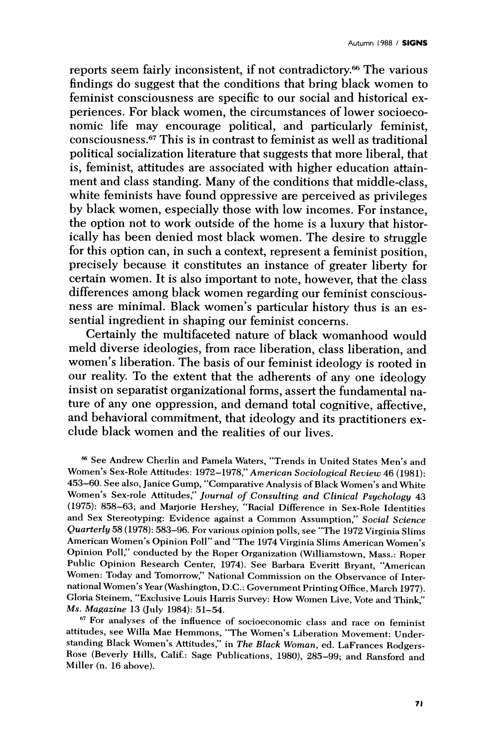**reports seem fairly inconsistent, if not contradictory.66 The various findings do suggest that the conditions that bring black women to feminist consciousness are specific to our social and historical experiences. For black women, the circumstances of lower socioeconomic life may encourage political, and particularly feminist, consciousness.67 This is in contrast to feminist as well as traditional political socialization literature that suggests that more liberal, that is, feminist, attitudes are associated with higher education attainment and class standing. Many of the conditions that middle-class, white feminists have found oppressive are perceived as privileges by black women, especially those with low incomes. For instance, the option not to work outside of the home is a luxury that historically has been denied most black women. The desire to struggle for this option can, in such a context, represent a feminist position, precisely because it constitutes an instance of greater liberty for certain women. It is also important to note, however, that the class differences among black women regarding our feminist consciousness are minimal. Black women's particular history thus is an essential ingredient in shaping our feminist concerns.** 

**Certainly the multifaceted nature of black womanhood would meld diverse ideologies, from race liberation, class liberation, and women's liberation. The basis of our feminist ideology is rooted in our reality. To the extent that the adherents of any one ideology insist on separatist organizational forms, assert the fundamental nature of any one oppression, and demand total cognitive, affective, and behavioral commitment, that ideology and its practitioners exclude black women and the realities of our lives.** 

**6 See Andrew Cherlin and Pamela Waters, "Trends in United States Men's and Women's Sex-Role Attitudes: 1972-1978," American Sociological Review 46 (1981): 453-60. See also, Janice Gump, "Comparative Analysis of Black Women's and White Women's Sex-role Attitudes," Journal of Consulting and Clinical Psychology 43 (1975): 858-63; and Marjorie Hershey, "Racial Difference in Sex-Role Identities and Sex Stereotyping: Evidence against a Common Assumption," Social Science Quarterly 58 (1978): 583-96. For various opinion polls, see "The 1972 Virginia Slims American Women's Opinion Poll" and "The 1974 Virginia Slims American Women's Opinion Poll," conducted by the Roper Organization (Williamstown, Mass.: Roper Public Opinion Research Center, 1974). See Barbara Everitt Bryant, "American Women: Today and Tomorrow," National Commission on the Observance of International Women's Year (Washington, D.C.: Government Printing Office, March 1977). Gloria Steinem, "Exclusive Louis Harris Survey: How Women Live, Vote and Think," Ms. Magazine 13 (July 1984): 51-54.** 

**<sup>67</sup>For analyses of the influence of socioeconomic class and race on feminist attitudes, see Willa Mae Hemmons, "The Women's Liberation Movement: Understanding Black Women's Attitudes," in The Black Woman, ed. LaFrances Rodgers-Rose (Beverly Hills, Calif.: Sage Publications, 1980), 285-99; and Ransford and Miller (n. 16 above).**